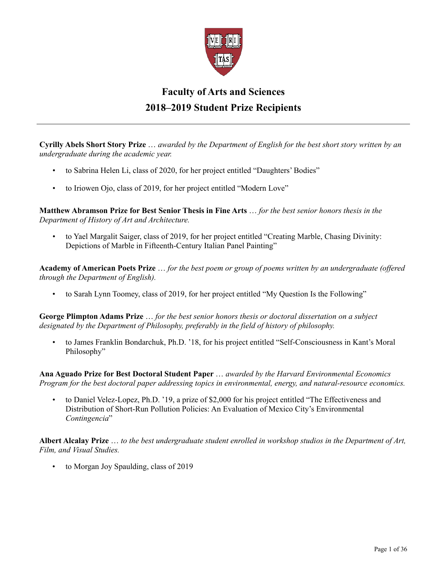

## **Faculty of Arts and Sciences 2018–2019 Student Prize Recipients**

**Cyrilly Abels Short Story Prize** … *awarded by the Department of English for the best short story written by an undergraduate during the academic year.*

- to Sabrina Helen Li, class of 2020, for her project entitled "Daughters' Bodies"
- to Iriowen Ojo, class of 2019, for her project entitled "Modern Love"

**Matthew Abramson Prize for Best Senior Thesis in Fine Arts** … *for the best senior honors thesis in the Department of History of Art and Architecture.*

• to Yael Margalit Saiger, class of 2019, for her project entitled "Creating Marble, Chasing Divinity: Depictions of Marble in Fifteenth-Century Italian Panel Painting"

**Academy of American Poets Prize** … *for the best poem or group of poems written by an undergraduate (offered through the Department of English).*

• to Sarah Lynn Toomey, class of 2019, for her project entitled "My Question Is the Following"

**George Plimpton Adams Prize** … *for the best senior honors thesis or doctoral dissertation on a subject designated by the Department of Philosophy, preferably in the field of history of philosophy.*

• to James Franklin Bondarchuk, Ph.D. '18, for his project entitled "Self-Consciousness in Kant's Moral Philosophy"

**Ana Aguado Prize for Best Doctoral Student Paper** … *awarded by the Harvard Environmental Economics Program for the best doctoral paper addressing topics in environmental, energy, and natural-resource economics.*

• to Daniel Velez-Lopez, Ph.D. '19, a prize of \$2,000 for his project entitled "The Effectiveness and Distribution of Short-Run Pollution Policies: An Evaluation of Mexico City's Environmental *Contingencia*"

**Albert Alcalay Prize** … *to the best undergraduate student enrolled in workshop studios in the Department of Art, Film, and Visual Studies.*

• to Morgan Joy Spaulding, class of 2019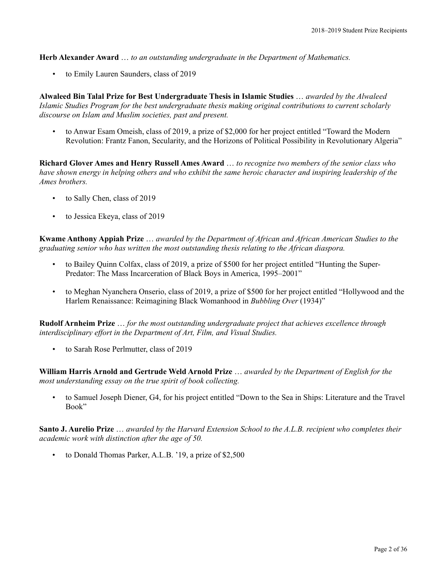**Herb Alexander Award** … *to an outstanding undergraduate in the Department of Mathematics.*

• to Emily Lauren Saunders, class of 2019

**Alwaleed Bin Talal Prize for Best Undergraduate Thesis in Islamic Studies** … *awarded by the Alwaleed Islamic Studies Program for the best undergraduate thesis making original contributions to current scholarly discourse on Islam and Muslim societies, past and present.*

• to Anwar Esam Omeish, class of 2019, a prize of \$2,000 for her project entitled "Toward the Modern Revolution: Frantz Fanon, Secularity, and the Horizons of Political Possibility in Revolutionary Algeria"

**Richard Glover Ames and Henry Russell Ames Award** … *to recognize two members of the senior class who have shown energy in helping others and who exhibit the same heroic character and inspiring leadership of the Ames brothers.*

- to Sally Chen, class of 2019
- to Jessica Ekeya, class of 2019

**Kwame Anthony Appiah Prize** … *awarded by the Department of African and African American Studies to the graduating senior who has written the most outstanding thesis relating to the African diaspora.*

- to Bailey Quinn Colfax, class of 2019, a prize of \$500 for her project entitled "Hunting the Super-Predator: The Mass Incarceration of Black Boys in America, 1995–2001"
- to Meghan Nyanchera Onserio, class of 2019, a prize of \$500 for her project entitled "Hollywood and the Harlem Renaissance: Reimagining Black Womanhood in *Bubbling Over* (1934)"

**Rudolf Arnheim Prize** … *for the most outstanding undergraduate project that achieves excellence through interdisciplinary effort in the Department of Art, Film, and Visual Studies.*

• to Sarah Rose Perlmutter, class of 2019

**William Harris Arnold and Gertrude Weld Arnold Prize** … *awarded by the Department of English for the most understanding essay on the true spirit of book collecting.*

• to Samuel Joseph Diener, G4, for his project entitled "Down to the Sea in Ships: Literature and the Travel Book"

**Santo J. Aurelio Prize** … *awarded by the Harvard Extension School to the A.L.B. recipient who completes their academic work with distinction after the age of 50.*

to Donald Thomas Parker, A.L.B. '19, a prize of \$2,500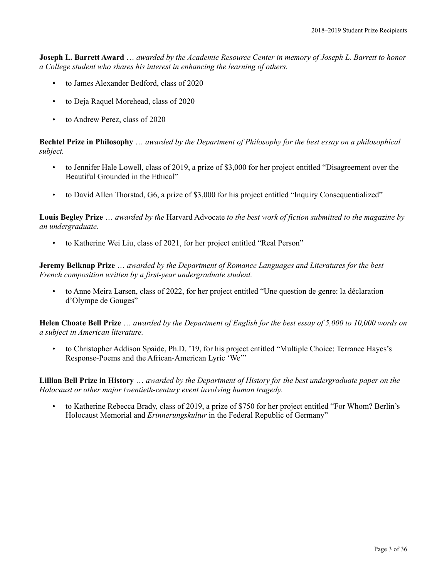**Joseph L. Barrett Award** … *awarded by the Academic Resource Center in memory of Joseph L. Barrett to honor a College student who shares his interest in enhancing the learning of others.*

- to James Alexander Bedford, class of 2020
- to Deja Raquel Morehead, class of 2020
- to Andrew Perez, class of 2020

**Bechtel Prize in Philosophy** … *awarded by the Department of Philosophy for the best essay on a philosophical subject.*

- to Jennifer Hale Lowell, class of 2019, a prize of \$3,000 for her project entitled "Disagreement over the Beautiful Grounded in the Ethical"
- to David Allen Thorstad, G6, a prize of \$3,000 for his project entitled "Inquiry Consequentialized"

**Louis Begley Prize** … *awarded by the* Harvard Advocate *to the best work of fiction submitted to the magazine by an undergraduate.*

• to Katherine Wei Liu, class of 2021, for her project entitled "Real Person"

**Jeremy Belknap Prize** … *awarded by the Department of Romance Languages and Literatures for the best French composition written by a first-year undergraduate student.*

• to Anne Meira Larsen, class of 2022, for her project entitled "Une question de genre: la déclaration d'Olympe de Gouges"

**Helen Choate Bell Prize** … *awarded by the Department of English for the best essay of 5,000 to 10,000 words on a subject in American literature.*

• to Christopher Addison Spaide, Ph.D. '19, for his project entitled "Multiple Choice: Terrance Hayes's Response-Poems and the African-American Lyric 'We'"

**Lillian Bell Prize in History** … *awarded by the Department of History for the best undergraduate paper on the Holocaust or other major twentieth-century event involving human tragedy.*

• to Katherine Rebecca Brady, class of 2019, a prize of \$750 for her project entitled "For Whom? Berlin's Holocaust Memorial and *Erinnerungskultur* in the Federal Republic of Germany"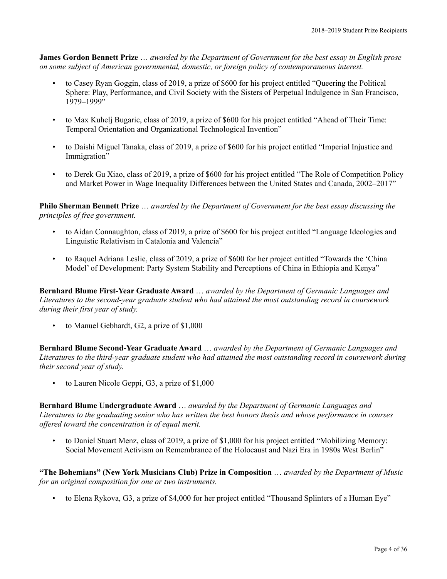**James Gordon Bennett Prize** … *awarded by the Department of Government for the best essay in English prose on some subject of American governmental, domestic, or foreign policy of contemporaneous interest.*

- to Casey Ryan Goggin, class of 2019, a prize of \$600 for his project entitled "Queering the Political Sphere: Play, Performance, and Civil Society with the Sisters of Perpetual Indulgence in San Francisco,  $1979 - 1999$ "
- to Max Kuhelj Bugaric, class of 2019, a prize of \$600 for his project entitled "Ahead of Their Time: Temporal Orientation and Organizational Technological Invention"
- to Daishi Miguel Tanaka, class of 2019, a prize of \$600 for his project entitled "Imperial Injustice and Immigration"
- to Derek Gu Xiao, class of 2019, a prize of \$600 for his project entitled "The Role of Competition Policy and Market Power in Wage Inequality Differences between the United States and Canada, 2002–2017"

**Philo Sherman Bennett Prize** … *awarded by the Department of Government for the best essay discussing the principles of free government.*

- to Aidan Connaughton, class of 2019, a prize of \$600 for his project entitled "Language Ideologies and Linguistic Relativism in Catalonia and Valencia"
- to Raquel Adriana Leslie, class of 2019, a prize of \$600 for her project entitled "Towards the 'China Model' of Development: Party System Stability and Perceptions of China in Ethiopia and Kenya"

**Bernhard Blume First-Year Graduate Award** … *awarded by the Department of Germanic Languages and Literatures to the second-year graduate student who had attained the most outstanding record in coursework during their first year of study.*

to Manuel Gebhardt, G2, a prize of \$1,000

**Bernhard Blume Second-Year Graduate Award** … *awarded by the Department of Germanic Languages and Literatures to the third-year graduate student who had attained the most outstanding record in coursework during their second year of study.*

• to Lauren Nicole Geppi, G3, a prize of \$1,000

**Bernhard Blume Undergraduate Award** … *awarded by the Department of Germanic Languages and Literatures to the graduating senior who has written the best honors thesis and whose performance in courses offered toward the concentration is of equal merit.*

• to Daniel Stuart Menz, class of 2019, a prize of \$1,000 for his project entitled "Mobilizing Memory: Social Movement Activism on Remembrance of the Holocaust and Nazi Era in 1980s West Berlin"

**"The Bohemians" (New York Musicians Club) Prize in Composition** … *awarded by the Department of Music for an original composition for one or two instruments.*

• to Elena Rykova, G3, a prize of \$4,000 for her project entitled "Thousand Splinters of a Human Eye"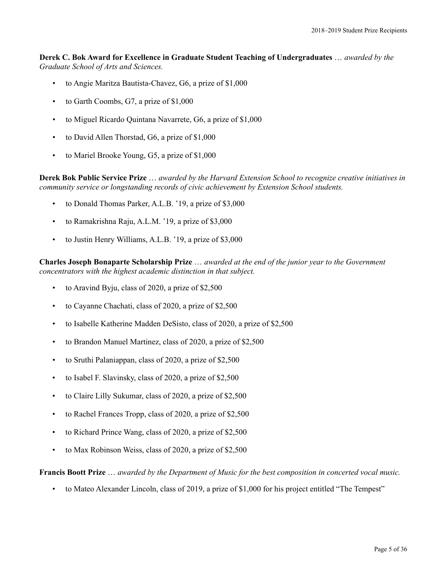**Derek C. Bok Award for Excellence in Graduate Student Teaching of Undergraduates** … *awarded by the Graduate School of Arts and Sciences.*

- to Angie Maritza Bautista-Chavez, G6, a prize of \$1,000
- to Garth Coombs, G7, a prize of \$1,000
- to Miguel Ricardo Quintana Navarrete, G6, a prize of \$1,000
- to David Allen Thorstad, G6, a prize of \$1,000
- to Mariel Brooke Young, G5, a prize of \$1,000

**Derek Bok Public Service Prize** … *awarded by the Harvard Extension School to recognize creative initiatives in community service or longstanding records of civic achievement by Extension School students.*

- to Donald Thomas Parker, A.L.B. '19, a prize of \$3,000
- to Ramakrishna Raju, A.L.M. '19, a prize of \$3,000
- to Justin Henry Williams, A.L.B. '19, a prize of \$3,000

**Charles Joseph Bonaparte Scholarship Prize** … *awarded at the end of the junior year to the Government concentrators with the highest academic distinction in that subject.*

- to Aravind Byju, class of 2020, a prize of \$2,500
- to Cayanne Chachati, class of 2020, a prize of \$2,500
- to Isabelle Katherine Madden DeSisto, class of 2020, a prize of \$2,500
- to Brandon Manuel Martinez, class of 2020, a prize of \$2,500
- to Sruthi Palaniappan, class of 2020, a prize of \$2,500
- to Isabel F. Slavinsky, class of 2020, a prize of \$2,500
- to Claire Lilly Sukumar, class of 2020, a prize of \$2,500
- to Rachel Frances Tropp, class of 2020, a prize of \$2,500
- to Richard Prince Wang, class of 2020, a prize of \$2,500
- to Max Robinson Weiss, class of 2020, a prize of \$2,500

**Francis Boott Prize** … *awarded by the Department of Music for the best composition in concerted vocal music.*

• to Mateo Alexander Lincoln, class of 2019, a prize of \$1,000 for his project entitled "The Tempest"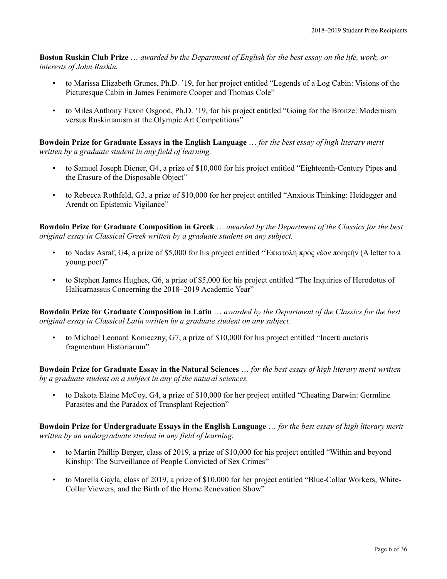**Boston Ruskin Club Prize** … *awarded by the Department of English for the best essay on the life, work, or interests of John Ruskin.*

- to Marissa Elizabeth Grunes, Ph.D. '19, for her project entitled "Legends of a Log Cabin: Visions of the Picturesque Cabin in James Fenimore Cooper and Thomas Cole"
- to Miles Anthony Faxon Osgood, Ph.D. '19, for his project entitled "Going for the Bronze: Modernism versus Ruskinianism at the Olympic Art Competitions"

**Bowdoin Prize for Graduate Essays in the English Language** … *for the best essay of high literary merit written by a graduate student in any field of learning.*

- to Samuel Joseph Diener, G4, a prize of \$10,000 for his project entitled "Eighteenth-Century Pipes and the Erasure of the Disposable Object"
- to Rebecca Rothfeld, G3, a prize of \$10,000 for her project entitled "Anxious Thinking: Heidegger and Arendt on Epistemic Vigilance"

**Bowdoin Prize for Graduate Composition in Greek** … *awarded by the Department of the Classics for the best original essay in Classical Greek written by a graduate student on any subject.*

- to Nadav Asraf, G4, a prize of \$5,000 for his project entitled "Ἐπιστολὴ πρὸς νέον ποιητήν (A letter to a young poet)"
- to Stephen James Hughes, G6, a prize of \$5,000 for his project entitled "The Inquiries of Herodotus of Halicarnassus Concerning the 2018–2019 Academic Year"

**Bowdoin Prize for Graduate Composition in Latin** … *awarded by the Department of the Classics for the best original essay in Classical Latin written by a graduate student on any subject.*

• to Michael Leonard Konieczny, G7, a prize of \$10,000 for his project entitled "Incerti auctoris fragmentum Historiarum"

**Bowdoin Prize for Graduate Essay in the Natural Sciences** … *for the best essay of high literary merit written by a graduate student on a subject in any of the natural sciences.*

• to Dakota Elaine McCoy, G4, a prize of \$10,000 for her project entitled "Cheating Darwin: Germline Parasites and the Paradox of Transplant Rejection"

**Bowdoin Prize for Undergraduate Essays in the English Language** … *for the best essay of high literary merit written by an undergraduate student in any field of learning.*

- to Martin Phillip Berger, class of 2019, a prize of \$10,000 for his project entitled "Within and beyond Kinship: The Surveillance of People Convicted of Sex Crimes"
- to Marella Gayla, class of 2019, a prize of \$10,000 for her project entitled "Blue-Collar Workers, White-Collar Viewers, and the Birth of the Home Renovation Show"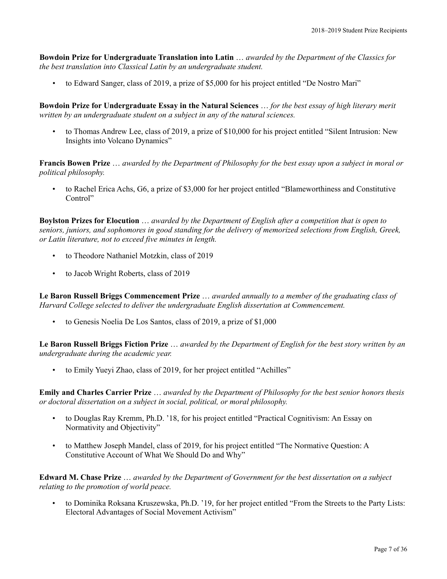**Bowdoin Prize for Undergraduate Translation into Latin** … *awarded by the Department of the Classics for the best translation into Classical Latin by an undergraduate student.*

• to Edward Sanger, class of 2019, a prize of \$5,000 for his project entitled "De Nostro Mari"

**Bowdoin Prize for Undergraduate Essay in the Natural Sciences** … *for the best essay of high literary merit written by an undergraduate student on a subject in any of the natural sciences.*

• to Thomas Andrew Lee, class of 2019, a prize of \$10,000 for his project entitled "Silent Intrusion: New Insights into Volcano Dynamics"

**Francis Bowen Prize** … *awarded by the Department of Philosophy for the best essay upon a subject in moral or political philosophy.*

• to Rachel Erica Achs, G6, a prize of \$3,000 for her project entitled "Blameworthiness and Constitutive Control"

**Boylston Prizes for Elocution** … *awarded by the Department of English after a competition that is open to seniors, juniors, and sophomores in good standing for the delivery of memorized selections from English, Greek, or Latin literature, not to exceed five minutes in length.*

- to Theodore Nathaniel Motzkin, class of 2019
- to Jacob Wright Roberts, class of 2019

**Le Baron Russell Briggs Commencement Prize** … *awarded annually to a member of the graduating class of Harvard College selected to deliver the undergraduate English dissertation at Commencement.*

• to Genesis Noelia De Los Santos, class of 2019, a prize of \$1,000

**Le Baron Russell Briggs Fiction Prize** … *awarded by the Department of English for the best story written by an undergraduate during the academic year.*

• to Emily Yueyi Zhao, class of 2019, for her project entitled "Achilles"

**Emily and Charles Carrier Prize** … *awarded by the Department of Philosophy for the best senior honors thesis or doctoral dissertation on a subject in social, political, or moral philosophy.*

- to Douglas Ray Kremm, Ph.D. '18, for his project entitled "Practical Cognitivism: An Essay on Normativity and Objectivity"
- to Matthew Joseph Mandel, class of 2019, for his project entitled "The Normative Question: A Constitutive Account of What We Should Do and Why"

**Edward M. Chase Prize** … *awarded by the Department of Government for the best dissertation on a subject relating to the promotion of world peace.*

• to Dominika Roksana Kruszewska, Ph.D. '19, for her project entitled "From the Streets to the Party Lists: Electoral Advantages of Social Movement Activism"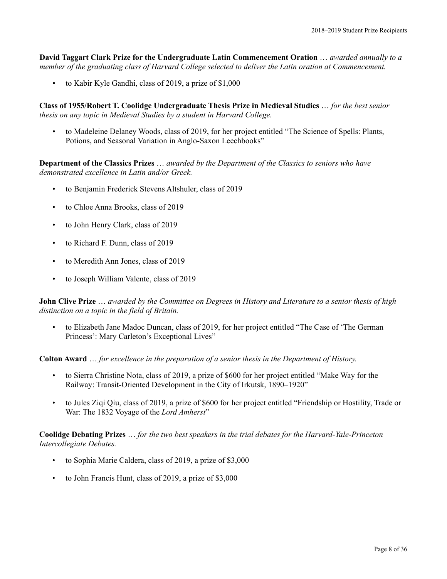**David Taggart Clark Prize for the Undergraduate Latin Commencement Oration** … *awarded annually to a member of the graduating class of Harvard College selected to deliver the Latin oration at Commencement.*

• to Kabir Kyle Gandhi, class of 2019, a prize of \$1,000

**Class of 1955/Robert T. Coolidge Undergraduate Thesis Prize in Medieval Studies** … *for the best senior thesis on any topic in Medieval Studies by a student in Harvard College.*

• to Madeleine Delaney Woods, class of 2019, for her project entitled "The Science of Spells: Plants, Potions, and Seasonal Variation in Anglo-Saxon Leechbooks"

**Department of the Classics Prizes** … *awarded by the Department of the Classics to seniors who have demonstrated excellence in Latin and/or Greek.*

- to Benjamin Frederick Stevens Altshuler, class of 2019
- to Chloe Anna Brooks, class of 2019
- to John Henry Clark, class of 2019
- to Richard F. Dunn, class of 2019
- to Meredith Ann Jones, class of 2019
- to Joseph William Valente, class of 2019

## **John Clive Prize** … *awarded by the Committee on Degrees in History and Literature to a senior thesis of high distinction on a topic in the field of Britain.*

• to Elizabeth Jane Madoc Duncan, class of 2019, for her project entitled "The Case of 'The German Princess': Mary Carleton's Exceptional Lives"

**Colton Award** … *for excellence in the preparation of a senior thesis in the Department of History.*

- to Sierra Christine Nota, class of 2019, a prize of \$600 for her project entitled "Make Way for the Railway: Transit-Oriented Development in the City of Irkutsk, 1890–1920"
- to Jules Ziqi Qiu, class of 2019, a prize of \$600 for her project entitled "Friendship or Hostility, Trade or War: The 1832 Voyage of the *Lord Amherst*"

## **Coolidge Debating Prizes** … *for the two best speakers in the trial debates for the Harvard-Yale-Princeton Intercollegiate Debates.*

- to Sophia Marie Caldera, class of 2019, a prize of \$3,000
- to John Francis Hunt, class of 2019, a prize of \$3,000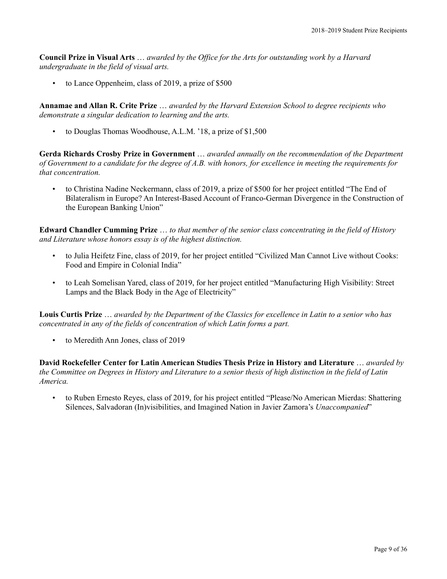**Council Prize in Visual Arts** … *awarded by the Office for the Arts for outstanding work by a Harvard undergraduate in the field of visual arts.*

• to Lance Oppenheim, class of 2019, a prize of \$500

**Annamae and Allan R. Crite Prize** … *awarded by the Harvard Extension School to degree recipients who demonstrate a singular dedication to learning and the arts.*

• to Douglas Thomas Woodhouse, A.L.M. '18, a prize of \$1,500

**Gerda Richards Crosby Prize in Government** … *awarded annually on the recommendation of the Department of Government to a candidate for the degree of A.B. with honors, for excellence in meeting the requirements for that concentration.*

• to Christina Nadine Neckermann, class of 2019, a prize of \$500 for her project entitled "The End of Bilateralism in Europe? An Interest-Based Account of Franco-German Divergence in the Construction of the European Banking Union"

**Edward Chandler Cumming Prize** … *to that member of the senior class concentrating in the field of History and Literature whose honors essay is of the highest distinction.*

- to Julia Heifetz Fine, class of 2019, for her project entitled "Civilized Man Cannot Live without Cooks: Food and Empire in Colonial India"
- to Leah Somelisan Yared, class of 2019, for her project entitled "Manufacturing High Visibility: Street Lamps and the Black Body in the Age of Electricity"

**Louis Curtis Prize** … *awarded by the Department of the Classics for excellence in Latin to a senior who has concentrated in any of the fields of concentration of which Latin forms a part.*

• to Meredith Ann Jones, class of 2019

**David Rockefeller Center for Latin American Studies Thesis Prize in History and Literature** … *awarded by the Committee on Degrees in History and Literature to a senior thesis of high distinction in the field of Latin America.*

• to Ruben Ernesto Reyes, class of 2019, for his project entitled "Please/No American Mierdas: Shattering Silences, Salvadoran (In)visibilities, and Imagined Nation in Javier Zamora's *Unaccompanied*"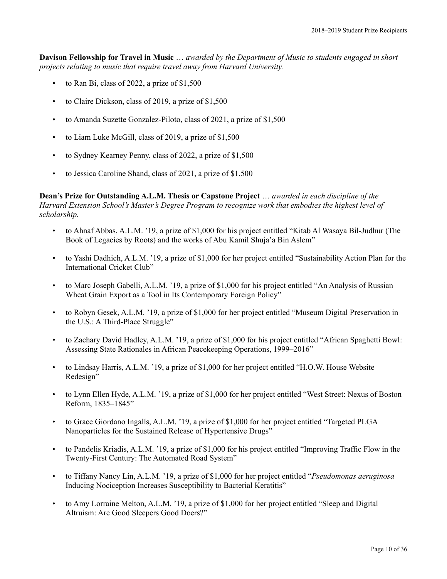**Davison Fellowship for Travel in Music** … *awarded by the Department of Music to students engaged in short projects relating to music that require travel away from Harvard University.*

- to Ran Bi, class of 2022, a prize of \$1,500
- to Claire Dickson, class of 2019, a prize of \$1,500
- to Amanda Suzette Gonzalez-Piloto, class of 2021, a prize of \$1,500
- to Liam Luke McGill, class of 2019, a prize of \$1,500
- to Sydney Kearney Penny, class of 2022, a prize of \$1,500
- to Jessica Caroline Shand, class of 2021, a prize of \$1,500

**Dean's Prize for Outstanding A.L.M. Thesis or Capstone Project** … *awarded in each discipline of the Harvard Extension School's Master's Degree Program to recognize work that embodies the highest level of scholarship.*

- to Ahnaf Abbas, A.L.M. '19, a prize of \$1,000 for his project entitled "Kitab Al Wasaya Bil-Judhur (The Book of Legacies by Roots) and the works of Abu Kamil Shuja'a Bin Aslem"
- to Yashi Dadhich, A.L.M. '19, a prize of \$1,000 for her project entitled "Sustainability Action Plan for the International Cricket Club"
- to Marc Joseph Gabelli, A.L.M. '19, a prize of \$1,000 for his project entitled "An Analysis of Russian Wheat Grain Export as a Tool in Its Contemporary Foreign Policy"
- to Robyn Gesek, A.L.M. '19, a prize of \$1,000 for her project entitled "Museum Digital Preservation in the U.S.: A Third-Place Struggle"
- to Zachary David Hadley, A.L.M. '19, a prize of \$1,000 for his project entitled "African Spaghetti Bowl: Assessing State Rationales in African Peacekeeping Operations, 1999–2016"
- to Lindsay Harris, A.L.M. '19, a prize of \$1,000 for her project entitled "H.O.W. House Website Redesign"
- to Lynn Ellen Hyde, A.L.M. '19, a prize of \$1,000 for her project entitled "West Street: Nexus of Boston Reform, 1835–1845"
- to Grace Giordano Ingalls, A.L.M. '19, a prize of \$1,000 for her project entitled "Targeted PLGA Nanoparticles for the Sustained Release of Hypertensive Drugs"
- to Pandelis Kriadis, A.L.M. '19, a prize of \$1,000 for his project entitled "Improving Traffic Flow in the Twenty-First Century: The Automated Road System"
- to Tiffany Nancy Lin, A.L.M. '19, a prize of \$1,000 for her project entitled "*Pseudomonas aeruginosa* Inducing Nociception Increases Susceptibility to Bacterial Keratitis"
- to Amy Lorraine Melton, A.L.M. '19, a prize of \$1,000 for her project entitled "Sleep and Digital Altruism: Are Good Sleepers Good Doers?"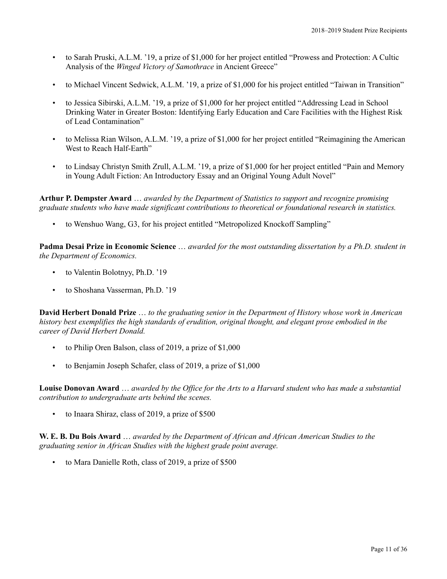- to Sarah Pruski, A.L.M. '19, a prize of \$1,000 for her project entitled "Prowess and Protection: A Cultic Analysis of the *Winged Victory of Samothrace* in Ancient Greece"
- to Michael Vincent Sedwick, A.L.M. '19, a prize of \$1,000 for his project entitled "Taiwan in Transition"
- to Jessica Sibirski, A.L.M. '19, a prize of \$1,000 for her project entitled "Addressing Lead in School Drinking Water in Greater Boston: Identifying Early Education and Care Facilities with the Highest Risk of Lead Contamination"
- to Melissa Rian Wilson, A.L.M. '19, a prize of \$1,000 for her project entitled "Reimagining the American West to Reach Half-Earth"
- to Lindsay Christyn Smith Zrull, A.L.M. '19, a prize of \$1,000 for her project entitled "Pain and Memory in Young Adult Fiction: An Introductory Essay and an Original Young Adult Novel"

**Arthur P. Dempster Award** … *awarded by the Department of Statistics to support and recognize promising graduate students who have made significant contributions to theoretical or foundational research in statistics.*

• to Wenshuo Wang, G3, for his project entitled "Metropolized Knockoff Sampling"

**Padma Desai Prize in Economic Science** … *awarded for the most outstanding dissertation by a Ph.D. student in the Department of Economics.*

- to Valentin Bolotnyy, Ph.D. '19
- to Shoshana Vasserman, Ph.D. '19

**David Herbert Donald Prize** … *to the graduating senior in the Department of History whose work in American history best exemplifies the high standards of erudition, original thought, and elegant prose embodied in the career of David Herbert Donald.*

- to Philip Oren Balson, class of 2019, a prize of \$1,000
- to Benjamin Joseph Schafer, class of 2019, a prize of \$1,000

**Louise Donovan Award** … *awarded by the Office for the Arts to a Harvard student who has made a substantial contribution to undergraduate arts behind the scenes.*

• to Inaara Shiraz, class of 2019, a prize of \$500

**W. E. B. Du Bois Award** … *awarded by the Department of African and African American Studies to the graduating senior in African Studies with the highest grade point average.*

to Mara Danielle Roth, class of 2019, a prize of \$500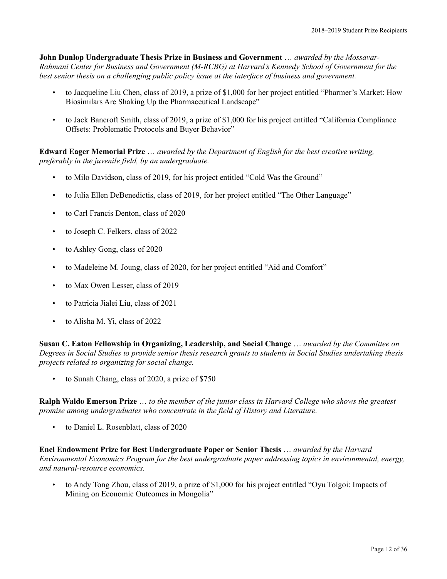**John Dunlop Undergraduate Thesis Prize in Business and Government** … *awarded by the Mossavar-Rahmani Center for Business and Government (M-RCBG) at Harvard's Kennedy School of Government for the best senior thesis on a challenging public policy issue at the interface of business and government.*

- to Jacqueline Liu Chen, class of 2019, a prize of \$1,000 for her project entitled "Pharmer's Market: How Biosimilars Are Shaking Up the Pharmaceutical Landscape"
- to Jack Bancroft Smith, class of 2019, a prize of \$1,000 for his project entitled "California Compliance Offsets: Problematic Protocols and Buyer Behavior"

**Edward Eager Memorial Prize** … *awarded by the Department of English for the best creative writing, preferably in the juvenile field, by an undergraduate.*

- to Milo Davidson, class of 2019, for his project entitled "Cold Was the Ground"
- to Julia Ellen DeBenedictis, class of 2019, for her project entitled "The Other Language"
- to Carl Francis Denton, class of 2020
- to Joseph C. Felkers, class of 2022
- to Ashley Gong, class of 2020
- to Madeleine M. Joung, class of 2020, for her project entitled "Aid and Comfort"
- to Max Owen Lesser, class of 2019
- to Patricia Jialei Liu, class of 2021
- to Alisha M. Yi, class of 2022

**Susan C. Eaton Fellowship in Organizing, Leadership, and Social Change** … *awarded by the Committee on Degrees in Social Studies to provide senior thesis research grants to students in Social Studies undertaking thesis projects related to organizing for social change.*

• to Sunah Chang, class of 2020, a prize of \$750

**Ralph Waldo Emerson Prize** … *to the member of the junior class in Harvard College who shows the greatest promise among undergraduates who concentrate in the field of History and Literature.*

• to Daniel L. Rosenblatt, class of 2020

**Enel Endowment Prize for Best Undergraduate Paper or Senior Thesis** … *awarded by the Harvard Environmental Economics Program for the best undergraduate paper addressing topics in environmental, energy, and natural-resource economics.*

• to Andy Tong Zhou, class of 2019, a prize of \$1,000 for his project entitled "Oyu Tolgoi: Impacts of Mining on Economic Outcomes in Mongolia"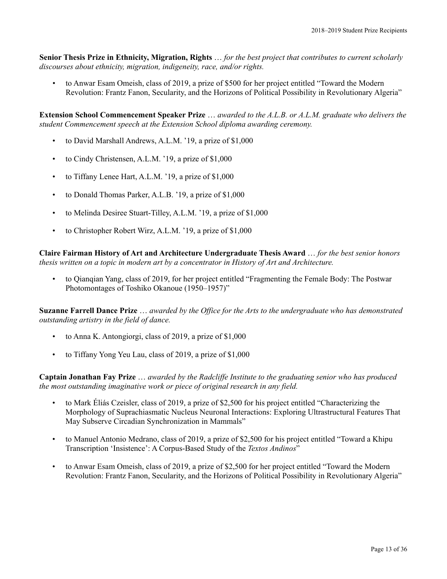**Senior Thesis Prize in Ethnicity, Migration, Rights** … *for the best project that contributes to current scholarly discourses about ethnicity, migration, indigeneity, race, and/or rights.*

• to Anwar Esam Omeish, class of 2019, a prize of \$500 for her project entitled "Toward the Modern Revolution: Frantz Fanon, Secularity, and the Horizons of Political Possibility in Revolutionary Algeria"

**Extension School Commencement Speaker Prize** … *awarded to the A.L.B. or A.L.M. graduate who delivers the student Commencement speech at the Extension School diploma awarding ceremony.*

- to David Marshall Andrews, A.L.M. '19, a prize of \$1,000
- to Cindy Christensen, A.L.M. '19, a prize of \$1,000
- to Tiffany Lenee Hart, A.L.M. '19, a prize of \$1,000
- to Donald Thomas Parker, A.L.B. '19, a prize of \$1,000
- to Melinda Desiree Stuart-Tilley, A.L.M. '19, a prize of \$1,000
- to Christopher Robert Wirz, A.L.M. '19, a prize of \$1,000

**Claire Fairman History of Art and Architecture Undergraduate Thesis Award** … *for the best senior honors thesis written on a topic in modern art by a concentrator in History of Art and Architecture.*

• to Qianqian Yang, class of 2019, for her project entitled "Fragmenting the Female Body: The Postwar Photomontages of Toshiko Okanoue (1950–1957)"

**Suzanne Farrell Dance Prize** … *awarded by the Office for the Arts to the undergraduate who has demonstrated outstanding artistry in the field of dance.*

- to Anna K. Antongiorgi, class of 2019, a prize of \$1,000
- to Tiffany Yong Yeu Lau, class of 2019, a prize of \$1,000

**Captain Jonathan Fay Prize** … *awarded by the Radcliffe Institute to the graduating senior who has produced the most outstanding imaginative work or piece of original research in any field.*

- to Mark Éliás Czeisler, class of 2019, a prize of \$2,500 for his project entitled "Characterizing the Morphology of Suprachiasmatic Nucleus Neuronal Interactions: Exploring Ultrastructural Features That May Subserve Circadian Synchronization in Mammals"
- to Manuel Antonio Medrano, class of 2019, a prize of \$2,500 for his project entitled "Toward a Khipu Transcription 'Insistence': A Corpus-Based Study of the *Textos Andinos*"
- to Anwar Esam Omeish, class of 2019, a prize of \$2,500 for her project entitled "Toward the Modern Revolution: Frantz Fanon, Secularity, and the Horizons of Political Possibility in Revolutionary Algeria"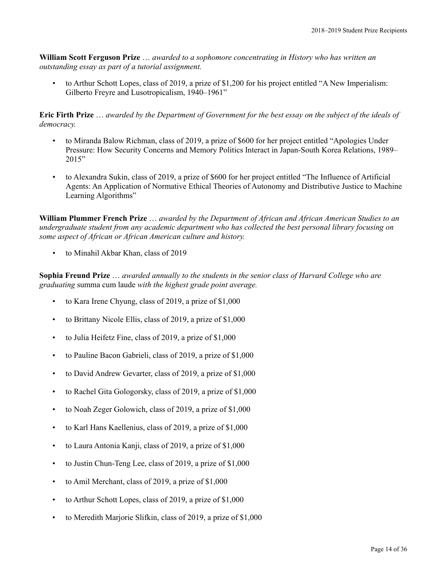**William Scott Ferguson Prize** … *awarded to a sophomore concentrating in History who has written an outstanding essay as part of a tutorial assignment.*

• to Arthur Schott Lopes, class of 2019, a prize of \$1,200 for his project entitled "A New Imperialism: Gilberto Freyre and Lusotropicalism, 1940–1961"

**Eric Firth Prize** … *awarded by the Department of Government for the best essay on the subject of the ideals of democracy.*

- to Miranda Balow Richman, class of 2019, a prize of \$600 for her project entitled "Apologies Under Pressure: How Security Concerns and Memory Politics Interact in Japan-South Korea Relations, 1989–  $2015"$
- to Alexandra Sukin, class of 2019, a prize of \$600 for her project entitled "The Influence of Artificial Agents: An Application of Normative Ethical Theories of Autonomy and Distributive Justice to Machine Learning Algorithms"

**William Plummer French Prize** … *awarded by the Department of African and African American Studies to an undergraduate student from any academic department who has collected the best personal library focusing on some aspect of African or African American culture and history.*

• to Minahil Akbar Khan, class of 2019

**Sophia Freund Prize** … *awarded annually to the students in the senior class of Harvard College who are graduating* summa cum laude *with the highest grade point average.*

- to Kara Irene Chyung, class of 2019, a prize of \$1,000
- to Brittany Nicole Ellis, class of 2019, a prize of \$1,000
- to Julia Heifetz Fine, class of 2019, a prize of \$1,000
- to Pauline Bacon Gabrieli, class of 2019, a prize of \$1,000
- to David Andrew Gevarter, class of 2019, a prize of \$1,000
- to Rachel Gita Gologorsky, class of 2019, a prize of \$1,000
- to Noah Zeger Golowich, class of 2019, a prize of \$1,000
- to Karl Hans Kaellenius, class of 2019, a prize of \$1,000
- to Laura Antonia Kanji, class of 2019, a prize of \$1,000
- to Justin Chun-Teng Lee, class of 2019, a prize of \$1,000
- to Amil Merchant, class of 2019, a prize of \$1,000
- to Arthur Schott Lopes, class of 2019, a prize of \$1,000
- to Meredith Marjorie Slifkin, class of 2019, a prize of \$1,000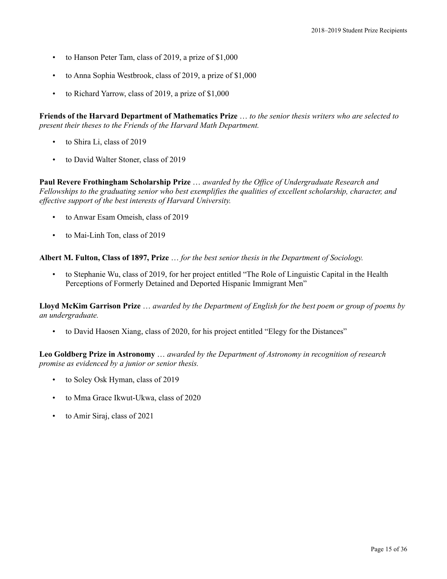- to Hanson Peter Tam, class of 2019, a prize of \$1,000
- to Anna Sophia Westbrook, class of 2019, a prize of \$1,000
- to Richard Yarrow, class of 2019, a prize of \$1,000

**Friends of the Harvard Department of Mathematics Prize** … *to the senior thesis writers who are selected to present their theses to the Friends of the Harvard Math Department.*

- to Shira Li, class of 2019
- to David Walter Stoner, class of 2019

**Paul Revere Frothingham Scholarship Prize** … *awarded by the Office of Undergraduate Research and Fellowships to the graduating senior who best exemplifies the qualities of excellent scholarship, character, and effective support of the best interests of Harvard University.*

- to Anwar Esam Omeish, class of 2019
- to Mai-Linh Ton, class of 2019

**Albert M. Fulton, Class of 1897, Prize** … *for the best senior thesis in the Department of Sociology.*

• to Stephanie Wu, class of 2019, for her project entitled "The Role of Linguistic Capital in the Health Perceptions of Formerly Detained and Deported Hispanic Immigrant Men"

**Lloyd McKim Garrison Prize** … *awarded by the Department of English for the best poem or group of poems by an undergraduate.*

• to David Haosen Xiang, class of 2020, for his project entitled "Elegy for the Distances"

**Leo Goldberg Prize in Astronomy** … *awarded by the Department of Astronomy in recognition of research promise as evidenced by a junior or senior thesis.*

- to Soley Osk Hyman, class of 2019
- to Mma Grace Ikwut-Ukwa, class of 2020
- to Amir Siraj, class of 2021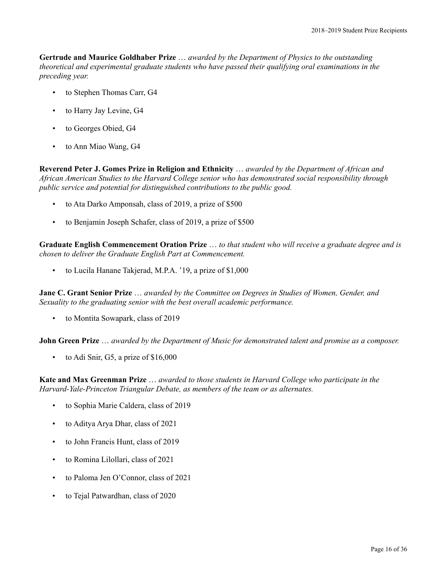**Gertrude and Maurice Goldhaber Prize** … *awarded by the Department of Physics to the outstanding theoretical and experimental graduate students who have passed their qualifying oral examinations in the preceding year.*

- to Stephen Thomas Carr, G4
- to Harry Jay Levine, G4
- to Georges Obied, G4
- to Ann Miao Wang, G4

**Reverend Peter J. Gomes Prize in Religion and Ethnicity** … *awarded by the Department of African and African American Studies to the Harvard College senior who has demonstrated social responsibility through public service and potential for distinguished contributions to the public good.*

- to Ata Darko Amponsah, class of 2019, a prize of \$500
- to Benjamin Joseph Schafer, class of 2019, a prize of \$500

**Graduate English Commencement Oration Prize** … *to that student who will receive a graduate degree and is chosen to deliver the Graduate English Part at Commencement.*

• to Lucila Hanane Takjerad, M.P.A. '19, a prize of \$1,000

**Jane C. Grant Senior Prize** … *awarded by the Committee on Degrees in Studies of Women, Gender, and Sexuality to the graduating senior with the best overall academic performance.*

• to Montita Sowapark, class of 2019

**John Green Prize** … *awarded by the Department of Music for demonstrated talent and promise as a composer.*

• to Adi Snir, G5, a prize of \$16,000

**Kate and Max Greenman Prize** … *awarded to those students in Harvard College who participate in the Harvard-Yale-Princeton Triangular Debate, as members of the team or as alternates.*

- to Sophia Marie Caldera, class of 2019
- to Aditya Arya Dhar, class of 2021
- to John Francis Hunt, class of 2019
- to Romina Lilollari, class of 2021
- to Paloma Jen O'Connor, class of 2021
- to Tejal Patwardhan, class of 2020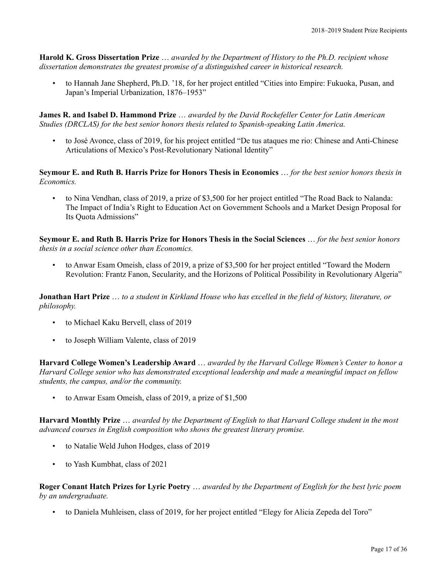**Harold K. Gross Dissertation Prize** … *awarded by the Department of History to the Ph.D. recipient whose dissertation demonstrates the greatest promise of a distinguished career in historical research.*

• to Hannah Jane Shepherd, Ph.D. '18, for her project entitled "Cities into Empire: Fukuoka, Pusan, and Japan's Imperial Urbanization, 1876–1953"

**James R. and Isabel D. Hammond Prize** … *awarded by the David Rockefeller Center for Latin American Studies (DRCLAS) for the best senior honors thesis related to Spanish-speaking Latin America.*

• to José Avonce, class of 2019, for his project entitled "De tus ataques me rio: Chinese and Anti-Chinese Articulations of Mexico's Post-Revolutionary National Identity"

**Seymour E. and Ruth B. Harris Prize for Honors Thesis in Economics** … *for the best senior honors thesis in Economics.*

• to Nina Vendhan, class of 2019, a prize of \$3,500 for her project entitled "The Road Back to Nalanda: The Impact of India's Right to Education Act on Government Schools and a Market Design Proposal for Its Quota Admissions"

**Seymour E. and Ruth B. Harris Prize for Honors Thesis in the Social Sciences** … *for the best senior honors thesis in a social science other than Economics.*

• to Anwar Esam Omeish, class of 2019, a prize of \$3,500 for her project entitled "Toward the Modern Revolution: Frantz Fanon, Secularity, and the Horizons of Political Possibility in Revolutionary Algeria"

**Jonathan Hart Prize** … *to a student in Kirkland House who has excelled in the field of history, literature, or philosophy.*

- to Michael Kaku Bervell, class of 2019
- to Joseph William Valente, class of 2019

**Harvard College Women's Leadership Award** … *awarded by the Harvard College Women's Center to honor a Harvard College senior who has demonstrated exceptional leadership and made a meaningful impact on fellow students, the campus, and/or the community.*

to Anwar Esam Omeish, class of 2019, a prize of \$1,500

**Harvard Monthly Prize** … *awarded by the Department of English to that Harvard College student in the most advanced courses in English composition who shows the greatest literary promise.*

- to Natalie Weld Juhon Hodges, class of 2019
- to Yash Kumbhat, class of 2021

**Roger Conant Hatch Prizes for Lyric Poetry** … *awarded by the Department of English for the best lyric poem by an undergraduate.*

• to Daniela Muhleisen, class of 2019, for her project entitled "Elegy for Alicia Zepeda del Toro"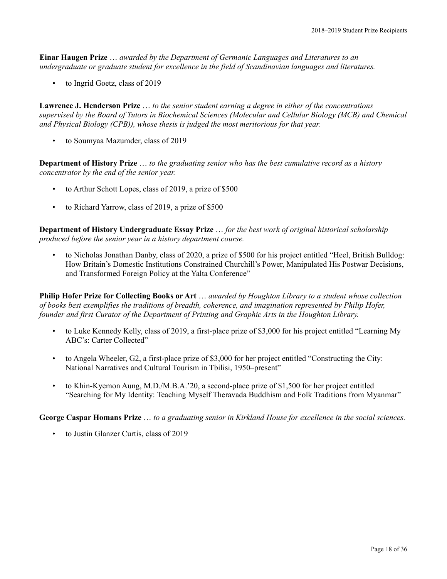**Einar Haugen Prize** … *awarded by the Department of Germanic Languages and Literatures to an undergraduate or graduate student for excellence in the field of Scandinavian languages and literatures.*

• to Ingrid Goetz, class of 2019

**Lawrence J. Henderson Prize** … *to the senior student earning a degree in either of the concentrations supervised by the Board of Tutors in Biochemical Sciences (Molecular and Cellular Biology (MCB) and Chemical and Physical Biology (CPB)), whose thesis is judged the most meritorious for that year.*

• to Soumyaa Mazumder, class of 2019

**Department of History Prize** … *to the graduating senior who has the best cumulative record as a history concentrator by the end of the senior year.*

- to Arthur Schott Lopes, class of 2019, a prize of \$500
- to Richard Yarrow, class of 2019, a prize of \$500

**Department of History Undergraduate Essay Prize** … *for the best work of original historical scholarship produced before the senior year in a history department course.*

• to Nicholas Jonathan Danby, class of 2020, a prize of \$500 for his project entitled "Heel, British Bulldog: How Britain's Domestic Institutions Constrained Churchill's Power, Manipulated His Postwar Decisions, and Transformed Foreign Policy at the Yalta Conference"

**Philip Hofer Prize for Collecting Books or Art** … *awarded by Houghton Library to a student whose collection of books best exemplifies the traditions of breadth, coherence, and imagination represented by Philip Hofer, founder and first Curator of the Department of Printing and Graphic Arts in the Houghton Library.*

- to Luke Kennedy Kelly, class of 2019, a first-place prize of \$3,000 for his project entitled "Learning My ABC's: Carter Collected"
- to Angela Wheeler, G2, a first-place prize of \$3,000 for her project entitled "Constructing the City: National Narratives and Cultural Tourism in Tbilisi, 1950–present"
- to Khin-Kyemon Aung, M.D./M.B.A.'20, a second-place prize of \$1,500 for her project entitled "Searching for My Identity: Teaching Myself Theravada Buddhism and Folk Traditions from Myanmar"

**George Caspar Homans Prize** … *to a graduating senior in Kirkland House for excellence in the social sciences.*

• to Justin Glanzer Curtis, class of 2019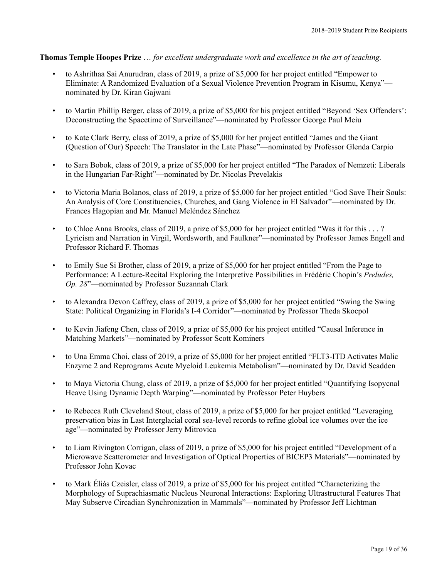## **Thomas Temple Hoopes Prize** … *for excellent undergraduate work and excellence in the art of teaching.*

- to Ashrithaa Sai Anurudran, class of 2019, a prize of \$5,000 for her project entitled "Empower to Eliminate: A Randomized Evaluation of a Sexual Violence Prevention Program in Kisumu, Kenya" nominated by Dr. Kiran Gajwani
- to Martin Phillip Berger, class of 2019, a prize of \$5,000 for his project entitled "Beyond 'Sex Offenders': Deconstructing the Spacetime of Surveillance"—nominated by Professor George Paul Meiu
- to Kate Clark Berry, class of 2019, a prize of \$5,000 for her project entitled "James and the Giant (Question of Our) Speech: The Translator in the Late Phase"—nominated by Professor Glenda Carpio
- to Sara Bobok, class of 2019, a prize of \$5,000 for her project entitled "The Paradox of Nemzeti: Liberals in the Hungarian Far-Right"—nominated by Dr. Nicolas Prevelakis
- to Victoria Maria Bolanos, class of 2019, a prize of \$5,000 for her project entitled "God Save Their Souls: An Analysis of Core Constituencies, Churches, and Gang Violence in El Salvador"—nominated by Dr. Frances Hagopian and Mr. Manuel Meléndez Sánchez
- to Chloe Anna Brooks, class of 2019, a prize of \$5,000 for her project entitled "Was it for this . . . ? Lyricism and Narration in Virgil, Wordsworth, and Faulkner"—nominated by Professor James Engell and Professor Richard F. Thomas
- to Emily Sue Si Brother, class of 2019, a prize of \$5,000 for her project entitled "From the Page to Performance: A Lecture-Recital Exploring the Interpretive Possibilities in Frédéric Chopin's *Preludes, Op. 28*"—nominated by Professor Suzannah Clark
- to Alexandra Devon Caffrey, class of 2019, a prize of \$5,000 for her project entitled "Swing the Swing State: Political Organizing in Florida's I-4 Corridor"—nominated by Professor Theda Skocpol
- to Kevin Jiafeng Chen, class of 2019, a prize of \$5,000 for his project entitled "Causal Inference in Matching Markets"—nominated by Professor Scott Kominers
- to Una Emma Choi, class of 2019, a prize of \$5,000 for her project entitled "FLT3-ITD Activates Malic Enzyme 2 and Reprograms Acute Myeloid Leukemia Metabolism"—nominated by Dr. David Scadden
- to Maya Victoria Chung, class of 2019, a prize of \$5,000 for her project entitled "Quantifying Isopycnal Heave Using Dynamic Depth Warping"—nominated by Professor Peter Huybers
- to Rebecca Ruth Cleveland Stout, class of 2019, a prize of \$5,000 for her project entitled "Leveraging preservation bias in Last Interglacial coral sea-level records to refine global ice volumes over the ice age"—nominated by Professor Jerry Mitrovica
- to Liam Rivington Corrigan, class of 2019, a prize of \$5,000 for his project entitled "Development of a Microwave Scatterometer and Investigation of Optical Properties of BICEP3 Materials"—nominated by Professor John Kovac
- to Mark Éliás Czeisler, class of 2019, a prize of \$5,000 for his project entitled "Characterizing the Morphology of Suprachiasmatic Nucleus Neuronal Interactions: Exploring Ultrastructural Features That May Subserve Circadian Synchronization in Mammals"—nominated by Professor Jeff Lichtman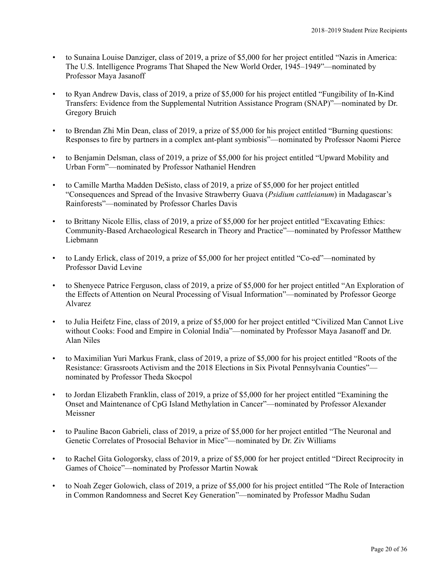- to Sunaina Louise Danziger, class of 2019, a prize of \$5,000 for her project entitled "Nazis in America: The U.S. Intelligence Programs That Shaped the New World Order, 1945–1949"—nominated by Professor Maya Jasanoff
- to Ryan Andrew Davis, class of 2019, a prize of \$5,000 for his project entitled "Fungibility of In-Kind Transfers: Evidence from the Supplemental Nutrition Assistance Program (SNAP)"—nominated by Dr. Gregory Bruich
- to Brendan Zhi Min Dean, class of 2019, a prize of \$5,000 for his project entitled "Burning questions: Responses to fire by partners in a complex ant-plant symbiosis"—nominated by Professor Naomi Pierce
- to Benjamin Delsman, class of 2019, a prize of \$5,000 for his project entitled "Upward Mobility and Urban Form"—nominated by Professor Nathaniel Hendren
- to Camille Martha Madden DeSisto, class of 2019, a prize of \$5,000 for her project entitled "Consequences and Spread of the Invasive Strawberry Guava (*Psidium cattleianum*) in Madagascar's Rainforests"—nominated by Professor Charles Davis
- to Brittany Nicole Ellis, class of 2019, a prize of \$5,000 for her project entitled "Excavating Ethics: Community-Based Archaeological Research in Theory and Practice"—nominated by Professor Matthew Liebmann
- to Landy Erlick, class of 2019, a prize of \$5,000 for her project entitled "Co-ed"—nominated by Professor David Levine
- to Shenyece Patrice Ferguson, class of 2019, a prize of \$5,000 for her project entitled "An Exploration of the Effects of Attention on Neural Processing of Visual Information"—nominated by Professor George Alvarez
- to Julia Heifetz Fine, class of 2019, a prize of \$5,000 for her project entitled "Civilized Man Cannot Live without Cooks: Food and Empire in Colonial India"—nominated by Professor Maya Jasanoff and Dr. Alan Niles
- to Maximilian Yuri Markus Frank, class of 2019, a prize of \$5,000 for his project entitled "Roots of the Resistance: Grassroots Activism and the 2018 Elections in Six Pivotal Pennsylvania Counties" nominated by Professor Theda Skocpol
- to Jordan Elizabeth Franklin, class of 2019, a prize of \$5,000 for her project entitled "Examining the Onset and Maintenance of CpG Island Methylation in Cancer"—nominated by Professor Alexander Meissner
- to Pauline Bacon Gabrieli, class of 2019, a prize of \$5,000 for her project entitled "The Neuronal and Genetic Correlates of Prosocial Behavior in Mice"—nominated by Dr. Ziv Williams
- to Rachel Gita Gologorsky, class of 2019, a prize of \$5,000 for her project entitled "Direct Reciprocity in Games of Choice"—nominated by Professor Martin Nowak
- to Noah Zeger Golowich, class of 2019, a prize of \$5,000 for his project entitled "The Role of Interaction in Common Randomness and Secret Key Generation"—nominated by Professor Madhu Sudan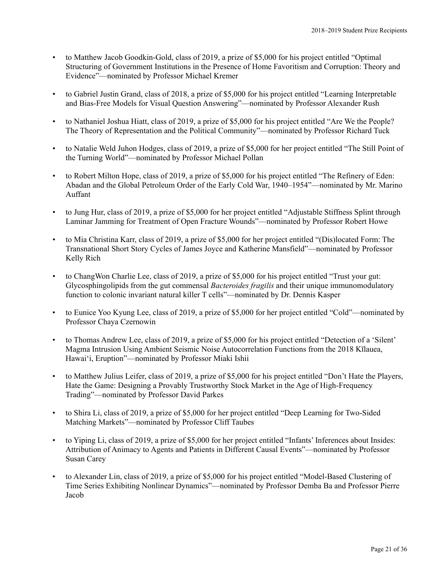- to Matthew Jacob Goodkin-Gold, class of 2019, a prize of \$5,000 for his project entitled "Optimal Structuring of Government Institutions in the Presence of Home Favoritism and Corruption: Theory and Evidence"—nominated by Professor Michael Kremer
- to Gabriel Justin Grand, class of 2018, a prize of \$5,000 for his project entitled "Learning Interpretable and Bias-Free Models for Visual Question Answering"—nominated by Professor Alexander Rush
- to Nathaniel Joshua Hiatt, class of 2019, a prize of \$5,000 for his project entitled "Are We the People? The Theory of Representation and the Political Community"—nominated by Professor Richard Tuck
- to Natalie Weld Juhon Hodges, class of 2019, a prize of \$5,000 for her project entitled "The Still Point of the Turning World"—nominated by Professor Michael Pollan
- to Robert Milton Hope, class of 2019, a prize of \$5,000 for his project entitled "The Refinery of Eden: Abadan and the Global Petroleum Order of the Early Cold War, 1940–1954"—nominated by Mr. Marino Auffant
- to Jung Hur, class of 2019, a prize of \$5,000 for her project entitled "Adjustable Stiffness Splint through Laminar Jamming for Treatment of Open Fracture Wounds"—nominated by Professor Robert Howe
- to Mia Christina Karr, class of 2019, a prize of \$5,000 for her project entitled "(Dis)located Form: The Transnational Short Story Cycles of James Joyce and Katherine Mansfield"—nominated by Professor Kelly Rich
- to Chang Won Charlie Lee, class of 2019, a prize of \$5,000 for his project entitled "Trust your gut: Glycosphingolipids from the gut commensal *Bacteroides fragilis* and their unique immunomodulatory function to colonic invariant natural killer T cells"—nominated by Dr. Dennis Kasper
- to Eunice Yoo Kyung Lee, class of 2019, a prize of \$5,000 for her project entitled "Cold"—nominated by Professor Chaya Czernowin
- to Thomas Andrew Lee, class of 2019, a prize of \$5,000 for his project entitled "Detection of a 'Silent' Magma Intrusion Using Ambient Seismic Noise Autocorrelation Functions from the 2018 Kīlauea, Hawaiʻi, Eruption"—nominated by Professor Miaki Ishii
- to Matthew Julius Leifer, class of 2019, a prize of \$5,000 for his project entitled "Don't Hate the Players, Hate the Game: Designing a Provably Trustworthy Stock Market in the Age of High-Frequency Trading"—nominated by Professor David Parkes
- to Shira Li, class of 2019, a prize of \$5,000 for her project entitled "Deep Learning for Two-Sided Matching Markets"—nominated by Professor Cliff Taubes
- to Yiping Li, class of 2019, a prize of \$5,000 for her project entitled "Infants' Inferences about Insides: Attribution of Animacy to Agents and Patients in Different Causal Events"—nominated by Professor Susan Carey
- to Alexander Lin, class of 2019, a prize of \$5,000 for his project entitled "Model-Based Clustering of Time Series Exhibiting Nonlinear Dynamics"—nominated by Professor Demba Ba and Professor Pierre Jacob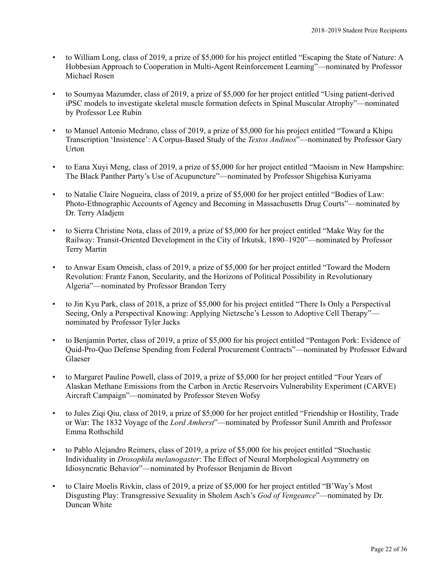- to William Long, class of 2019, a prize of \$5,000 for his project entitled "Escaping the State of Nature: A Hobbesian Approach to Cooperation in Multi-Agent Reinforcement Learning"—nominated by Professor Michael Rosen
- to Soumyaa Mazumder, class of 2019, a prize of \$5,000 for her project entitled "Using patient-derived iPSC models to investigate skeletal muscle formation defects in Spinal Muscular Atrophy"—nominated by Professor Lee Rubin
- to Manuel Antonio Medrano, class of 2019, a prize of \$5,000 for his project entitled "Toward a Khipu Transcription 'Insistence': A Corpus-Based Study of the *Textos Andinos*"—nominated by Professor Gary Urton
- to Eana Xuyi Meng, class of 2019, a prize of \$5,000 for her project entitled "Maoism in New Hampshire: The Black Panther Party's Use of Acupuncture"—nominated by Professor Shigehisa Kuriyama
- to Natalie Claire Nogueira, class of 2019, a prize of \$5,000 for her project entitled "Bodies of Law: Photo-Ethnographic Accounts of Agency and Becoming in Massachusetts Drug Courts"—nominated by Dr. Terry Aladjem
- to Sierra Christine Nota, class of 2019, a prize of \$5,000 for her project entitled "Make Way for the Railway: Transit-Oriented Development in the City of Irkutsk, 1890–1920"—nominated by Professor Terry Martin
- to Anwar Esam Omeish, class of 2019, a prize of \$5,000 for her project entitled "Toward the Modern Revolution: Frantz Fanon, Secularity, and the Horizons of Political Possibility in Revolutionary Algeria"—nominated by Professor Brandon Terry
- to Jin Kyu Park, class of 2018, a prize of \$5,000 for his project entitled "There Is Only a Perspectival Seeing, Only a Perspectival Knowing: Applying Nietzsche's Lesson to Adoptive Cell Therapy" nominated by Professor Tyler Jacks
- to Benjamin Porter, class of 2019, a prize of \$5,000 for his project entitled "Pentagon Pork: Evidence of Quid-Pro-Quo Defense Spending from Federal Procurement Contracts"—nominated by Professor Edward Glaeser
- to Margaret Pauline Powell, class of 2019, a prize of \$5,000 for her project entitled "Four Years of Alaskan Methane Emissions from the Carbon in Arctic Reservoirs Vulnerability Experiment (CARVE) Aircraft Campaign"—nominated by Professor Steven Wofsy
- to Jules Ziqi Qiu, class of 2019, a prize of \$5,000 for her project entitled "Friendship or Hostility, Trade or War: The 1832 Voyage of the *Lord Amherst*"—nominated by Professor Sunil Amrith and Professor Emma Rothschild
- to Pablo Alejandro Reimers, class of 2019, a prize of \$5,000 for his project entitled "Stochastic Individuality in *Drosophila melanogaster*: The Effect of Neural Morphological Asymmetry on Idiosyncratic Behavior"—nominated by Professor Benjamin de Bivort
- to Claire Moelis Rivkin, class of 2019, a prize of \$5,000 for her project entitled "B'Way's Most Disgusting Play: Transgressive Sexuality in Sholem Asch's *God of Vengeance*"—nominated by Dr. Duncan White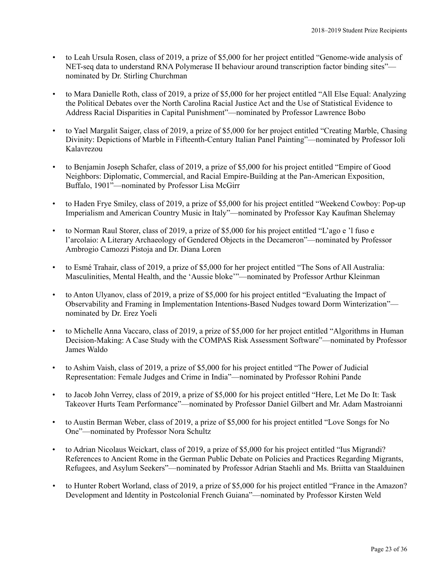- to Leah Ursula Rosen, class of 2019, a prize of \$5,000 for her project entitled "Genome-wide analysis of NET-seq data to understand RNA Polymerase II behaviour around transcription factor binding sites" nominated by Dr. Stirling Churchman
- to Mara Danielle Roth, class of 2019, a prize of \$5,000 for her project entitled "All Else Equal: Analyzing the Political Debates over the North Carolina Racial Justice Act and the Use of Statistical Evidence to Address Racial Disparities in Capital Punishment"—nominated by Professor Lawrence Bobo
- to Yael Margalit Saiger, class of 2019, a prize of \$5,000 for her project entitled "Creating Marble, Chasing Divinity: Depictions of Marble in Fifteenth-Century Italian Panel Painting"—nominated by Professor Ioli Kalavrezou
- to Benjamin Joseph Schafer, class of 2019, a prize of \$5,000 for his project entitled "Empire of Good Neighbors: Diplomatic, Commercial, and Racial Empire-Building at the Pan-American Exposition, Buffalo, 1901"—nominated by Professor Lisa McGirr
- to Haden Frye Smiley, class of 2019, a prize of \$5,000 for his project entitled "Weekend Cowboy: Pop-up Imperialism and American Country Music in Italy"—nominated by Professor Kay Kaufman Shelemay
- to Norman Raul Storer, class of 2019, a prize of \$5,000 for his project entitled "L'ago e 'l fuso e l'arcolaio: A Literary Archaeology of Gendered Objects in the Decameron"—nominated by Professor Ambrogio Camozzi Pistoja and Dr. Diana Loren
- to Esmé Trahair, class of 2019, a prize of \$5,000 for her project entitled "The Sons of All Australia: Masculinities, Mental Health, and the 'Aussie bloke'"—nominated by Professor Arthur Kleinman
- to Anton Ulyanov, class of 2019, a prize of \$5,000 for his project entitled "Evaluating the Impact of Observability and Framing in Implementation Intentions-Based Nudges toward Dorm Winterization" nominated by Dr. Erez Yoeli
- to Michelle Anna Vaccaro, class of 2019, a prize of \$5,000 for her project entitled "Algorithms in Human Decision-Making: A Case Study with the COMPAS Risk Assessment Software"—nominated by Professor James Waldo
- to Ashim Vaish, class of 2019, a prize of \$5,000 for his project entitled "The Power of Judicial Representation: Female Judges and Crime in India"—nominated by Professor Rohini Pande
- to Jacob John Verrey, class of 2019, a prize of \$5,000 for his project entitled "Here, Let Me Do It: Task Takeover Hurts Team Performance"—nominated by Professor Daniel Gilbert and Mr. Adam Mastroianni
- to Austin Berman Weber, class of 2019, a prize of \$5,000 for his project entitled "Love Songs for No One"—nominated by Professor Nora Schultz
- to Adrian Nicolaus Weickart, class of 2019, a prize of \$5,000 for his project entitled "Ius Migrandi? References to Ancient Rome in the German Public Debate on Policies and Practices Regarding Migrants, Refugees, and Asylum Seekers"—nominated by Professor Adrian Staehli and Ms. Briitta van Staalduinen
- to Hunter Robert Worland, class of 2019, a prize of \$5,000 for his project entitled "France in the Amazon? Development and Identity in Postcolonial French Guiana"—nominated by Professor Kirsten Weld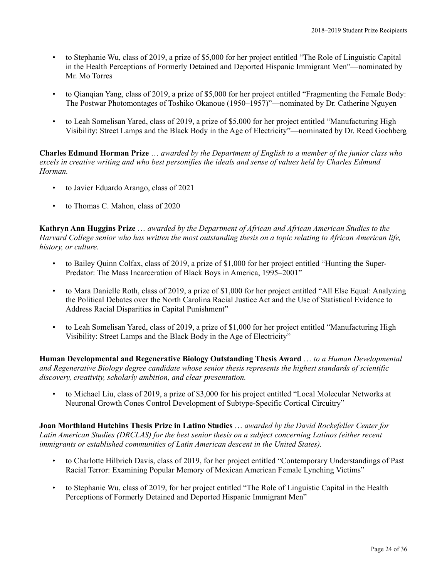- to Stephanie Wu, class of 2019, a prize of \$5,000 for her project entitled "The Role of Linguistic Capital in the Health Perceptions of Formerly Detained and Deported Hispanic Immigrant Men"—nominated by Mr. Mo Torres
- to Qianqian Yang, class of 2019, a prize of \$5,000 for her project entitled "Fragmenting the Female Body: The Postwar Photomontages of Toshiko Okanoue (1950–1957)"—nominated by Dr. Catherine Nguyen
- to Leah Somelisan Yared, class of 2019, a prize of \$5,000 for her project entitled "Manufacturing High Visibility: Street Lamps and the Black Body in the Age of Electricity"—nominated by Dr. Reed Gochberg

**Charles Edmund Horman Prize** … *awarded by the Department of English to a member of the junior class who excels in creative writing and who best personifies the ideals and sense of values held by Charles Edmund Horman.*

- to Javier Eduardo Arango, class of 2021
- to Thomas C. Mahon, class of 2020

**Kathryn Ann Huggins Prize** … *awarded by the Department of African and African American Studies to the Harvard College senior who has written the most outstanding thesis on a topic relating to African American life, history, or culture.*

- to Bailey Quinn Colfax, class of 2019, a prize of \$1,000 for her project entitled "Hunting the Super-Predator: The Mass Incarceration of Black Boys in America, 1995–2001"
- to Mara Danielle Roth, class of 2019, a prize of \$1,000 for her project entitled "All Else Equal: Analyzing the Political Debates over the North Carolina Racial Justice Act and the Use of Statistical Evidence to Address Racial Disparities in Capital Punishment"
- to Leah Somelisan Yared, class of 2019, a prize of \$1,000 for her project entitled "Manufacturing High Visibility: Street Lamps and the Black Body in the Age of Electricity"

**Human Developmental and Regenerative Biology Outstanding Thesis Award** … *to a Human Developmental and Regenerative Biology degree candidate whose senior thesis represents the highest standards of scientific discovery, creativity, scholarly ambition, and clear presentation.*

• to Michael Liu, class of 2019, a prize of \$3,000 for his project entitled "Local Molecular Networks at Neuronal Growth Cones Control Development of Subtype-Specific Cortical Circuitry"

**Joan Morthland Hutchins Thesis Prize in Latino Studies** … *awarded by the David Rockefeller Center for Latin American Studies (DRCLAS) for the best senior thesis on a subject concerning Latinos (either recent immigrants or established communities of Latin American descent in the United States).*

- to Charlotte Hilbrich Davis, class of 2019, for her project entitled "Contemporary Understandings of Past Racial Terror: Examining Popular Memory of Mexican American Female Lynching Victims"
- to Stephanie Wu, class of 2019, for her project entitled "The Role of Linguistic Capital in the Health Perceptions of Formerly Detained and Deported Hispanic Immigrant Men"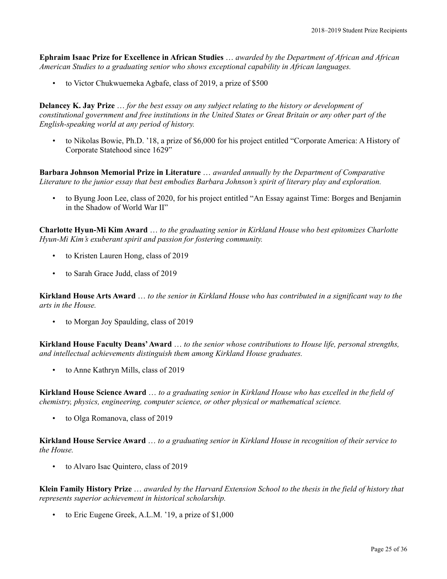**Ephraim Isaac Prize for Excellence in African Studies** … *awarded by the Department of African and African American Studies to a graduating senior who shows exceptional capability in African languages.*

• to Victor Chukwuemeka Agbafe, class of 2019, a prize of \$500

**Delancey K. Jay Prize** … *for the best essay on any subject relating to the history or development of constitutional government and free institutions in the United States or Great Britain or any other part of the English-speaking world at any period of history.*

• to Nikolas Bowie, Ph.D. '18, a prize of \$6,000 for his project entitled "Corporate America: A History of Corporate Statehood since 1629"

**Barbara Johnson Memorial Prize in Literature** … *awarded annually by the Department of Comparative Literature to the junior essay that best embodies Barbara Johnson's spirit of literary play and exploration.*

• to Byung Joon Lee, class of 2020, for his project entitled "An Essay against Time: Borges and Benjamin in the Shadow of World War II"

**Charlotte Hyun-Mi Kim Award** … *to the graduating senior in Kirkland House who best epitomizes Charlotte Hyun-Mi Kim's exuberant spirit and passion for fostering community.*

- to Kristen Lauren Hong, class of 2019
- to Sarah Grace Judd, class of 2019

**Kirkland House Arts Award** … *to the senior in Kirkland House who has contributed in a significant way to the arts in the House.*

• to Morgan Joy Spaulding, class of 2019

**Kirkland House Faculty Deans'Award** … *to the senior whose contributions to House life, personal strengths, and intellectual achievements distinguish them among Kirkland House graduates.*

• to Anne Kathryn Mills, class of 2019

**Kirkland House Science Award** … *to a graduating senior in Kirkland House who has excelled in the field of chemistry, physics, engineering, computer science, or other physical or mathematical science.*

• to Olga Romanova, class of 2019

**Kirkland House Service Award** … *to a graduating senior in Kirkland House in recognition of their service to the House.*

• to Alvaro Isac Quintero, class of 2019

**Klein Family History Prize** … *awarded by the Harvard Extension School to the thesis in the field of history that represents superior achievement in historical scholarship.*

to Eric Eugene Greek, A.L.M. '19, a prize of \$1,000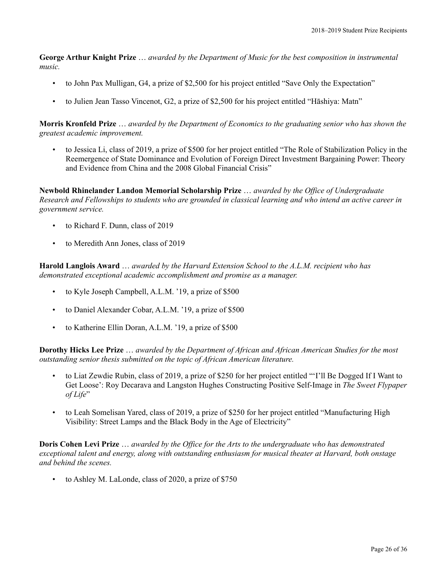**George Arthur Knight Prize** … *awarded by the Department of Music for the best composition in instrumental music.*

- to John Pax Mulligan, G4, a prize of \$2,500 for his project entitled "Save Only the Expectation"
- to Julien Jean Tasso Vincenot, G2, a prize of \$2,500 for his project entitled "Hāshiya: Matn"

**Morris Kronfeld Prize** … *awarded by the Department of Economics to the graduating senior who has shown the greatest academic improvement.*

• to Jessica Li, class of 2019, a prize of \$500 for her project entitled "The Role of Stabilization Policy in the Reemergence of State Dominance and Evolution of Foreign Direct Investment Bargaining Power: Theory and Evidence from China and the 2008 Global Financial Crisis"

**Newbold Rhinelander Landon Memorial Scholarship Prize** … *awarded by the Office of Undergraduate Research and Fellowships to students who are grounded in classical learning and who intend an active career in government service.*

- to Richard F. Dunn, class of 2019
- to Meredith Ann Jones, class of 2019

**Harold Langlois Award** … *awarded by the Harvard Extension School to the A.L.M. recipient who has demonstrated exceptional academic accomplishment and promise as a manager.*

- to Kyle Joseph Campbell, A.L.M. '19, a prize of \$500
- to Daniel Alexander Cobar, A.L.M. '19, a prize of \$500
- to Katherine Ellin Doran, A.L.M. '19, a prize of \$500

**Dorothy Hicks Lee Prize** … *awarded by the Department of African and African American Studies for the most outstanding senior thesis submitted on the topic of African American literature.*

- to Liat Zewdie Rubin, class of 2019, a prize of \$250 for her project entitled "'I'll Be Dogged If I Want to Get Loose': Roy Decarava and Langston Hughes Constructing Positive Self-Image in *The Sweet Flypaper of Life*"
- to Leah Somelisan Yared, class of 2019, a prize of \$250 for her project entitled "Manufacturing High Visibility: Street Lamps and the Black Body in the Age of Electricity"

**Doris Cohen Levi Prize** … *awarded by the Office for the Arts to the undergraduate who has demonstrated exceptional talent and energy, along with outstanding enthusiasm for musical theater at Harvard, both onstage and behind the scenes.*

• to Ashley M. LaLonde, class of 2020, a prize of \$750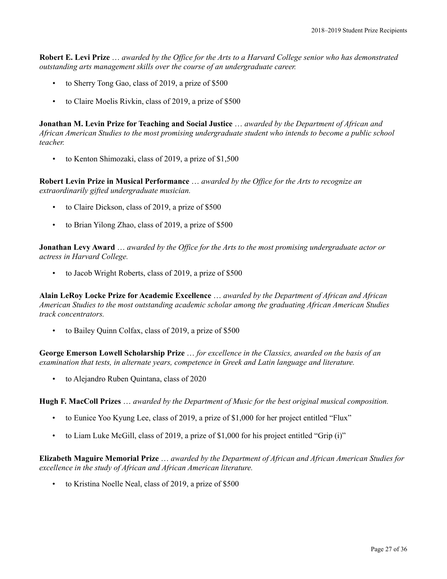**Robert E. Levi Prize** … *awarded by the Office for the Arts to a Harvard College senior who has demonstrated outstanding arts management skills over the course of an undergraduate career.*

- to Sherry Tong Gao, class of 2019, a prize of \$500
- to Claire Moelis Rivkin, class of 2019, a prize of \$500

**Jonathan M. Levin Prize for Teaching and Social Justice** … *awarded by the Department of African and African American Studies to the most promising undergraduate student who intends to become a public school teacher.*

• to Kenton Shimozaki, class of 2019, a prize of \$1,500

**Robert Levin Prize in Musical Performance** … *awarded by the Office for the Arts to recognize an extraordinarily gifted undergraduate musician.*

- to Claire Dickson, class of 2019, a prize of \$500
- to Brian Yilong Zhao, class of 2019, a prize of \$500

**Jonathan Levy Award** … *awarded by the Office for the Arts to the most promising undergraduate actor or actress in Harvard College.*

to Jacob Wright Roberts, class of 2019, a prize of \$500

**Alain LeRoy Locke Prize for Academic Excellence** … *awarded by the Department of African and African American Studies to the most outstanding academic scholar among the graduating African American Studies track concentrators.*

• to Bailey Quinn Colfax, class of 2019, a prize of \$500

**George Emerson Lowell Scholarship Prize** … *for excellence in the Classics, awarded on the basis of an examination that tests, in alternate years, competence in Greek and Latin language and literature.*

• to Alejandro Ruben Quintana, class of 2020

**Hugh F. MacColl Prizes** … *awarded by the Department of Music for the best original musical composition.*

- to Eunice Yoo Kyung Lee, class of 2019, a prize of \$1,000 for her project entitled "Flux"
- to Liam Luke McGill, class of 2019, a prize of \$1,000 for his project entitled "Grip (i)"

**Elizabeth Maguire Memorial Prize** … *awarded by the Department of African and African American Studies for excellence in the study of African and African American literature.*

• to Kristina Noelle Neal, class of 2019, a prize of \$500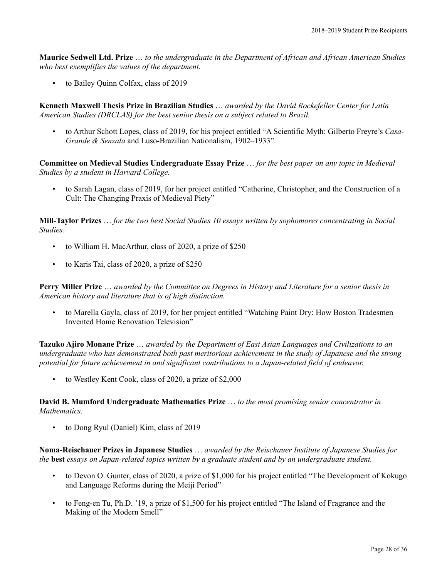**Maurice Sedwell Ltd. Prize** … *to the undergraduate in the Department of African and African American Studies who best exemplifies the values of the department.*

• to Bailey Quinn Colfax, class of 2019

**Kenneth Maxwell Thesis Prize in Brazilian Studies** … *awarded by the David Rockefeller Center for Latin American Studies (DRCLAS) for the best senior thesis on a subject related to Brazil.*

• to Arthur Schott Lopes, class of 2019, for his project entitled "A Scientific Myth: Gilberto Freyre's *Casa-Grande & Senzala* and Luso-Brazilian Nationalism, 1902–1933"

**Committee on Medieval Studies Undergraduate Essay Prize** … *for the best paper on any topic in Medieval Studies by a student in Harvard College.*

• to Sarah Lagan, class of 2019, for her project entitled "Catherine, Christopher, and the Construction of a Cult: The Changing Praxis of Medieval Piety"

**Mill-Taylor Prizes** … *for the two best Social Studies 10 essays written by sophomores concentrating in Social Studies.*

- to William H. MacArthur, class of 2020, a prize of \$250
- to Karis Tai, class of 2020, a prize of \$250

**Perry Miller Prize** … *awarded by the Committee on Degrees in History and Literature for a senior thesis in American history and literature that is of high distinction.*

• to Marella Gayla, class of 2019, for her project entitled "Watching Paint Dry: How Boston Tradesmen Invented Home Renovation Television"

**Tazuko Ajiro Monane Prize** … *awarded by the Department of East Asian Languages and Civilizations to an undergraduate who has demonstrated both past meritorious achievement in the study of Japanese and the strong potential for future achievement in and significant contributions to a Japan-related field of endeavor.*

• to Westley Kent Cook, class of 2020, a prize of \$2,000

**David B. Mumford Undergraduate Mathematics Prize** … *to the most promising senior concentrator in Mathematics.*

• to Dong Ryul (Daniel) Kim, class of 2019

**Noma-Reischauer Prizes in Japanese Studies** … *awarded by the Reischauer Institute of Japanese Studies for the* **best** *essays on Japan-related topics written by a graduate student and by an undergraduate student.*

- to Devon O. Gunter, class of 2020, a prize of \$1,000 for his project entitled "The Development of Kokugo and Language Reforms during the Meiji Period"
- to Feng-en Tu, Ph.D. '19, a prize of \$1,500 for his project entitled "The Island of Fragrance and the Making of the Modern Smell"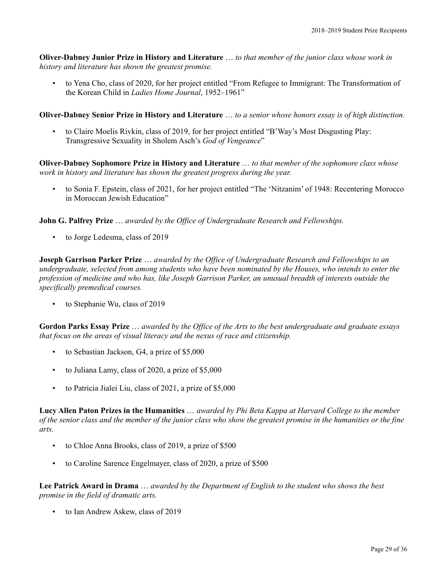**Oliver-Dabney Junior Prize in History and Literature** … *to that member of the junior class whose work in history and literature has shown the greatest promise.*

• to Yena Cho, class of 2020, for her project entitled "From Refugee to Immigrant: The Transformation of the Korean Child in *Ladies Home Journal*, 1952–1961"

**Oliver-Dabney Senior Prize in History and Literature** … *to a senior whose honors essay is of high distinction.*

• to Claire Moelis Rivkin, class of 2019, for her project entitled "B'Way's Most Disgusting Play: Transgressive Sexuality in Sholem Asch's *God of Vengeance*"

**Oliver-Dabney Sophomore Prize in History and Literature** … *to that member of the sophomore class whose work in history and literature has shown the greatest progress during the year.*

• to Sonia F. Epstein, class of 2021, for her project entitled "The 'Nitzanim' of 1948: Recentering Morocco in Moroccan Jewish Education"

**John G. Palfrey Prize** … *awarded by the Office of Undergraduate Research and Fellowships.*

• to Jorge Ledesma, class of 2019

**Joseph Garrison Parker Prize** … *awarded by the Office of Undergraduate Research and Fellowships to an undergraduate, selected from among students who have been nominated by the Houses, who intends to enter the profession of medicine and who has, like Joseph Garrison Parker, an unusual breadth of interests outside the specifically premedical courses.*

to Stephanie Wu, class of 2019

**Gordon Parks Essay Prize** … *awarded by the Office of the Arts to the best undergraduate and graduate essays that focus on the areas of visual literacy and the nexus of race and citizenship.*

- to Sebastian Jackson, G4, a prize of \$5,000
- to Juliana Lamy, class of 2020, a prize of \$5,000
- to Patricia Jialei Liu, class of 2021, a prize of \$5,000

**Lucy Allen Paton Prizes in the Humanities** … *awarded by Phi Beta Kappa at Harvard College to the member of the senior class and the member of the junior class who show the greatest promise in the humanities or the fine arts.*

- to Chloe Anna Brooks, class of 2019, a prize of \$500
- to Caroline Sarence Engelmayer, class of 2020, a prize of \$500

**Lee Patrick Award in Drama** … *awarded by the Department of English to the student who shows the best promise in the field of dramatic arts.*

• to Ian Andrew Askew, class of 2019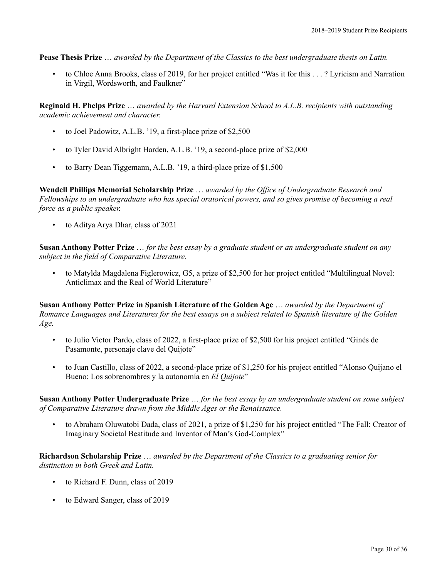**Pease Thesis Prize** … *awarded by the Department of the Classics to the best undergraduate thesis on Latin.*

• to Chloe Anna Brooks, class of 2019, for her project entitled "Was it for this . . . ? Lyricism and Narration in Virgil, Wordsworth, and Faulkner"

**Reginald H. Phelps Prize** … *awarded by the Harvard Extension School to A.L.B. recipients with outstanding academic achievement and character.*

- to Joel Padowitz, A.L.B. '19, a first-place prize of \$2,500
- to Tyler David Albright Harden, A.L.B. '19, a second-place prize of \$2,000
- to Barry Dean Tiggemann, A.L.B. '19, a third-place prize of \$1,500

**Wendell Phillips Memorial Scholarship Prize** … *awarded by the Office of Undergraduate Research and Fellowships to an undergraduate who has special oratorical powers, and so gives promise of becoming a real force as a public speaker.*

• to Aditya Arya Dhar, class of 2021

**Susan Anthony Potter Prize** … *for the best essay by a graduate student or an undergraduate student on any subject in the field of Comparative Literature.*

• to Matylda Magdalena Figlerowicz, G5, a prize of \$2,500 for her project entitled "Multilingual Novel: Anticlimax and the Real of World Literature"

**Susan Anthony Potter Prize in Spanish Literature of the Golden Age** … *awarded by the Department of Romance Languages and Literatures for the best essays on a subject related to Spanish literature of the Golden Age.*

- to Julio Victor Pardo, class of 2022, a first-place prize of \$2,500 for his project entitled "Ginés de Pasamonte, personaje clave del Quijote"
- to Juan Castillo, class of 2022, a second-place prize of \$1,250 for his project entitled "Alonso Quijano el Bueno: Los sobrenombres y la autonomía en *El Quijote*"

**Susan Anthony Potter Undergraduate Prize** … *for the best essay by an undergraduate student on some subject of Comparative Literature drawn from the Middle Ages or the Renaissance.*

• to Abraham Oluwatobi Dada, class of 2021, a prize of \$1,250 for his project entitled "The Fall: Creator of Imaginary Societal Beatitude and Inventor of Man's God-Complex"

**Richardson Scholarship Prize** … *awarded by the Department of the Classics to a graduating senior for distinction in both Greek and Latin.*

- to Richard F. Dunn, class of 2019
- to Edward Sanger, class of 2019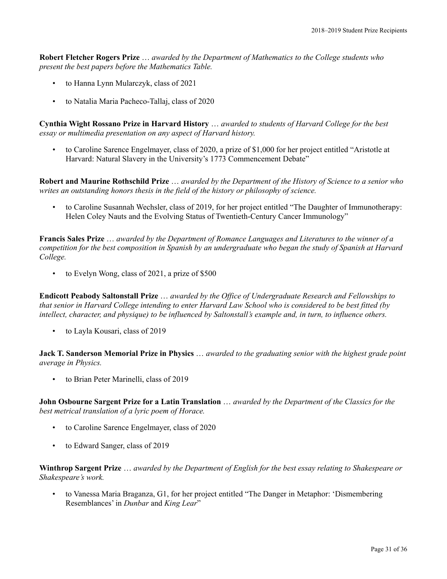**Robert Fletcher Rogers Prize** … *awarded by the Department of Mathematics to the College students who present the best papers before the Mathematics Table.*

- to Hanna Lynn Mularczyk, class of 2021
- to Natalia Maria Pacheco-Tallaj, class of 2020

**Cynthia Wight Rossano Prize in Harvard History** … *awarded to students of Harvard College for the best essay or multimedia presentation on any aspect of Harvard history.*

• to Caroline Sarence Engelmayer, class of 2020, a prize of \$1,000 for her project entitled "Aristotle at Harvard: Natural Slavery in the University's 1773 Commencement Debate"

**Robert and Maurine Rothschild Prize** … *awarded by the Department of the History of Science to a senior who writes an outstanding honors thesis in the field of the history or philosophy of science.*

• to Caroline Susannah Wechsler, class of 2019, for her project entitled "The Daughter of Immunotherapy: Helen Coley Nauts and the Evolving Status of Twentieth-Century Cancer Immunology"

**Francis Sales Prize** … *awarded by the Department of Romance Languages and Literatures to the winner of a competition for the best composition in Spanish by an undergraduate who began the study of Spanish at Harvard College.*

• to Evelyn Wong, class of 2021, a prize of \$500

**Endicott Peabody Saltonstall Prize** … *awarded by the Office of Undergraduate Research and Fellowships to that senior in Harvard College intending to enter Harvard Law School who is considered to be best fitted (by intellect, character, and physique) to be influenced by Saltonstall's example and, in turn, to influence others.*

• to Layla Kousari, class of 2019

**Jack T. Sanderson Memorial Prize in Physics** … *awarded to the graduating senior with the highest grade point average in Physics.*

• to Brian Peter Marinelli, class of 2019

**John Osbourne Sargent Prize for a Latin Translation** … *awarded by the Department of the Classics for the best metrical translation of a lyric poem of Horace.*

- to Caroline Sarence Engelmayer, class of 2020
- to Edward Sanger, class of 2019

**Winthrop Sargent Prize** … *awarded by the Department of English for the best essay relating to Shakespeare or Shakespeare's work.*

• to Vanessa Maria Braganza, G1, for her project entitled "The Danger in Metaphor: 'Dismembering Resemblances' in *Dunbar* and *King Lear*"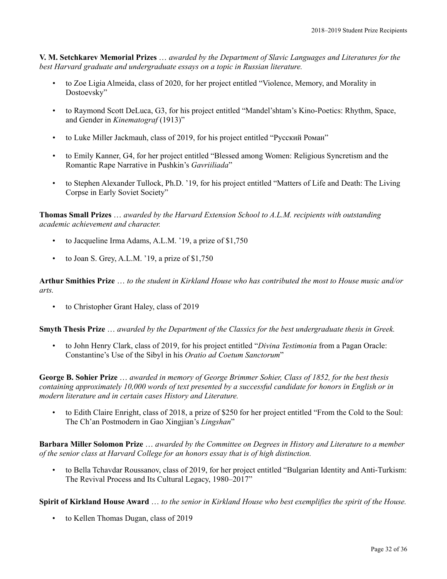**V. M. Setchkarev Memorial Prizes** … *awarded by the Department of Slavic Languages and Literatures for the best Harvard graduate and undergraduate essays on a topic in Russian literature.*

- to Zoe Ligia Almeida, class of 2020, for her project entitled "Violence, Memory, and Morality in Dostoevsky"
- to Raymond Scott DeLuca, G3, for his project entitled "Mandel'shtam's Kino-Poetics: Rhythm, Space, and Gender in *Kinematograf* (1913)"
- to Luke Miller Jackmauh, class of 2019, for his project entitled "Русский Роман"
- to Emily Kanner, G4, for her project entitled "Blessed among Women: Religious Syncretism and the Romantic Rape Narrative in Pushkin's *Gavriiliada*"
- to Stephen Alexander Tullock, Ph.D. '19, for his project entitled "Matters of Life and Death: The Living Corpse in Early Soviet Society"

**Thomas Small Prizes** … *awarded by the Harvard Extension School to A.L.M. recipients with outstanding academic achievement and character.*

- to Jacqueline Irma Adams, A.L.M. '19, a prize of \$1,750
- to Joan S. Grey, A.L.M. '19, a prize of  $$1,750$

**Arthur Smithies Prize** … *to the student in Kirkland House who has contributed the most to House music and/or arts.*

to Christopher Grant Haley, class of 2019

**Smyth Thesis Prize** … *awarded by the Department of the Classics for the best undergraduate thesis in Greek.*

• to John Henry Clark, class of 2019, for his project entitled "*Divina Testimonia* from a Pagan Oracle: Constantine's Use of the Sibyl in his *Oratio ad Coetum Sanctorum*"

**George B. Sohier Prize** … *awarded in memory of George Brimmer Sohier, Class of 1852, for the best thesis containing approximately 10,000 words of text presented by a successful candidate for honors in English or in modern literature and in certain cases History and Literature.*

• to Edith Claire Enright, class of 2018, a prize of \$250 for her project entitled "From the Cold to the Soul: The Ch'an Postmodern in Gao Xingjian's *Lingshan*"

**Barbara Miller Solomon Prize** … *awarded by the Committee on Degrees in History and Literature to a member of the senior class at Harvard College for an honors essay that is of high distinction.*

• to Bella Tchavdar Roussanov, class of 2019, for her project entitled "Bulgarian Identity and Anti-Turkism: The Revival Process and Its Cultural Legacy, 1980–2017"

**Spirit of Kirkland House Award** … *to the senior in Kirkland House who best exemplifies the spirit of the House.*

• to Kellen Thomas Dugan, class of 2019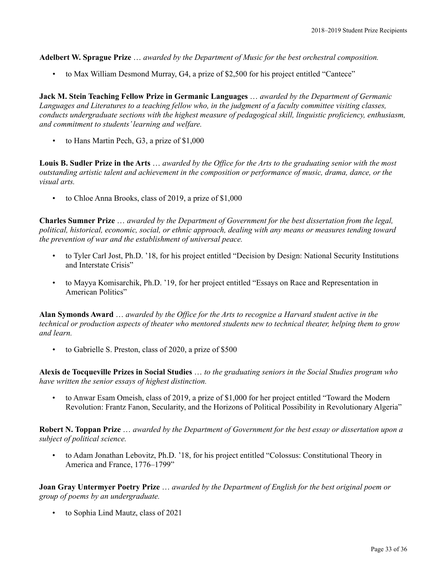**Adelbert W. Sprague Prize** … *awarded by the Department of Music for the best orchestral composition.*

• to Max William Desmond Murray, G4, a prize of \$2,500 for his project entitled "Cantece"

**Jack M. Stein Teaching Fellow Prize in Germanic Languages** … *awarded by the Department of Germanic Languages and Literatures to a teaching fellow who, in the judgment of a faculty committee visiting classes, conducts undergraduate sections with the highest measure of pedagogical skill, linguistic proficiency, enthusiasm, and commitment to students'learning and welfare.*

• to Hans Martin Pech, G3, a prize of \$1,000

**Louis B. Sudler Prize in the Arts** … *awarded by the Office for the Arts to the graduating senior with the most outstanding artistic talent and achievement in the composition or performance of music, drama, dance, or the visual arts.*

• to Chloe Anna Brooks, class of 2019, a prize of \$1,000

**Charles Sumner Prize** … *awarded by the Department of Government for the best dissertation from the legal, political, historical, economic, social, or ethnic approach, dealing with any means or measures tending toward the prevention of war and the establishment of universal peace.*

- to Tyler Carl Jost, Ph.D. '18, for his project entitled "Decision by Design: National Security Institutions and Interstate Crisis"
- to Mayya Komisarchik, Ph.D. '19, for her project entitled "Essays on Race and Representation in American Politics"

**Alan Symonds Award** … *awarded by the Office for the Arts to recognize a Harvard student active in the technical or production aspects of theater who mentored students new to technical theater, helping them to grow and learn.*

• to Gabrielle S. Preston, class of 2020, a prize of \$500

**Alexis de Tocqueville Prizes in Social Studies** … *to the graduating seniors in the Social Studies program who have written the senior essays of highest distinction.*

• to Anwar Esam Omeish, class of 2019, a prize of \$1,000 for her project entitled "Toward the Modern Revolution: Frantz Fanon, Secularity, and the Horizons of Political Possibility in Revolutionary Algeria"

**Robert N. Toppan Prize** … *awarded by the Department of Government for the best essay or dissertation upon a subject of political science.*

• to Adam Jonathan Lebovitz, Ph.D. '18, for his project entitled "Colossus: Constitutional Theory in America and France, 1776–1799"

**Joan Gray Untermyer Poetry Prize** … *awarded by the Department of English for the best original poem or group of poems by an undergraduate.*

• to Sophia Lind Mautz, class of 2021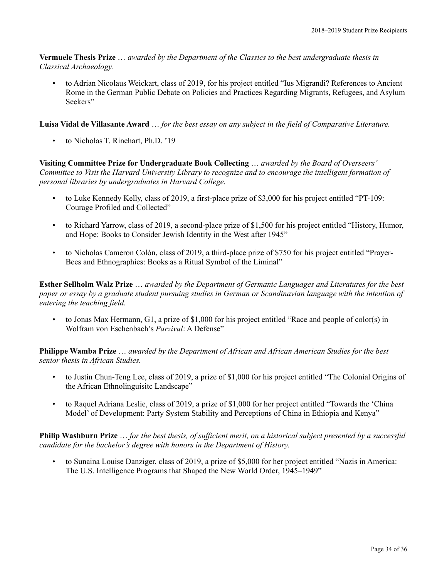**Vermuele Thesis Prize** … *awarded by the Department of the Classics to the best undergraduate thesis in Classical Archaeology.*

• to Adrian Nicolaus Weickart, class of 2019, for his project entitled "Ius Migrandi? References to Ancient Rome in the German Public Debate on Policies and Practices Regarding Migrants, Refugees, and Asylum Seekers"

**Luisa Vidal de Villasante Award** … *for the best essay on any subject in the field of Comparative Literature.*

• to Nicholas T. Rinehart, Ph.D. '19

**Visiting Committee Prize for Undergraduate Book Collecting** … *awarded by the Board of Overseers' Committee to Visit the Harvard University Library to recognize and to encourage the intelligent formation of personal libraries by undergraduates in Harvard College.*

- to Luke Kennedy Kelly, class of 2019, a first-place prize of \$3,000 for his project entitled "PT-109: Courage Profiled and Collected"
- to Richard Yarrow, class of 2019, a second-place prize of \$1,500 for his project entitled "History, Humor, and Hope: Books to Consider Jewish Identity in the West after 1945"
- to Nicholas Cameron Colón, class of 2019, a third-place prize of \$750 for his project entitled "Prayer-Bees and Ethnographies: Books as a Ritual Symbol of the Liminal"

**Esther Sellholm Walz Prize** … *awarded by the Department of Germanic Languages and Literatures for the best paper or essay by a graduate student pursuing studies in German or Scandinavian language with the intention of entering the teaching field.*

• to Jonas Max Hermann, G1, a prize of \$1,000 for his project entitled "Race and people of color(s) in Wolfram von Eschenbach's *Parzival*: A Defense"

**Philippe Wamba Prize** … *awarded by the Department of African and African American Studies for the best senior thesis in African Studies.*

- to Justin Chun-Teng Lee, class of 2019, a prize of \$1,000 for his project entitled "The Colonial Origins of the African Ethnolinguisitc Landscape"
- to Raquel Adriana Leslie, class of 2019, a prize of \$1,000 for her project entitled "Towards the 'China Model' of Development: Party System Stability and Perceptions of China in Ethiopia and Kenya"

**Philip Washburn Prize** … *for the best thesis, of sufficient merit, on a historical subject presented by a successful candidate for the bachelor's degree with honors in the Department of History.*

• to Sunaina Louise Danziger, class of 2019, a prize of \$5,000 for her project entitled "Nazis in America: The U.S. Intelligence Programs that Shaped the New World Order, 1945–1949"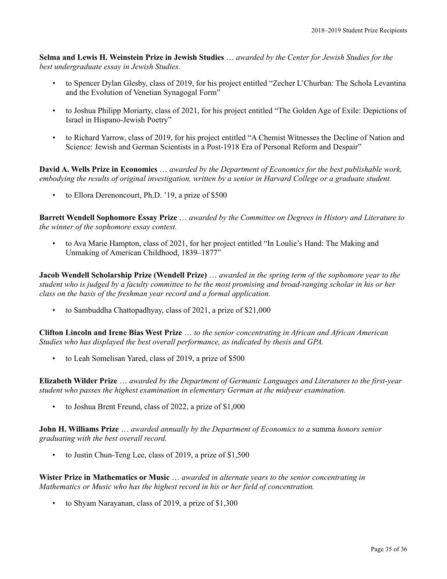**Selma and Lewis H. Weinstein Prize in Jewish Studies** … *awarded by the Center for Jewish Studies for the best undergraduate essay in Jewish Studies.*

- to Spencer Dylan Glesby, class of 2019, for his project entitled "Zecher L'Churban: The Schola Levantina and the Evolution of Venetian Synagogal Form"
- to Joshua Philipp Moriarty, class of 2021, for his project entitled "The Golden Age of Exile: Depictions of Israel in Hispano-Jewish Poetry"
- to Richard Yarrow, class of 2019, for his project entitled "A Chemist Witnesses the Decline of Nation and Science: Jewish and German Scientists in a Post-1918 Era of Personal Reform and Despair"

**David A. Wells Prize in Economics** … *awarded by the Department of Economics for the best publishable work, embodying the results of original investigation, written by a senior in Harvard College or a graduate student.*

• to Ellora Derenoncourt, Ph.D. '19, a prize of \$500

**Barrett Wendell Sophomore Essay Prize** … *awarded by the Committee on Degrees in History and Literature to the winner of the sophomore essay contest.*

• to Ava Marie Hampton, class of 2021, for her project entitled "In Loulie's Hand: The Making and Unmaking of American Childhood, 1839–1877"

**Jacob Wendell Scholarship Prize (Wendell Prize)** … *awarded in the spring term of the sophomore year to the student who is judged by a faculty committee to be the most promising and broad-ranging scholar in his or her class on the basis of the freshman year record and a formal application.*

• to Sambuddha Chattopadhyay, class of 2021, a prize of \$21,000

**Clifton Lincoln and Irene Bias West Prize** … *to the senior concentrating in African and African American Studies who has displayed the best overall performance, as indicated by thesis and GPA.*

• to Leah Somelisan Yared, class of 2019, a prize of \$500

**Elizabeth Wilder Prize** … *awarded by the Department of Germanic Languages and Literatures to the first-year student who passes the highest examination in elementary German at the midyear examination.*

• to Joshua Brent Freund, class of 2022, a prize of \$1,000

**John H. Williams Prize** … *awarded annually by the Department of Economics to a* summa *honors senior graduating with the best overall record.*

to Justin Chun-Teng Lee, class of 2019, a prize of \$1,500

**Wister Prize in Mathematics or Music** … *awarded in alternate years to the senior concentrating in Mathematics or Music who has the highest record in his or her field of concentration.*

• to Shyam Narayanan, class of 2019, a prize of \$1,300